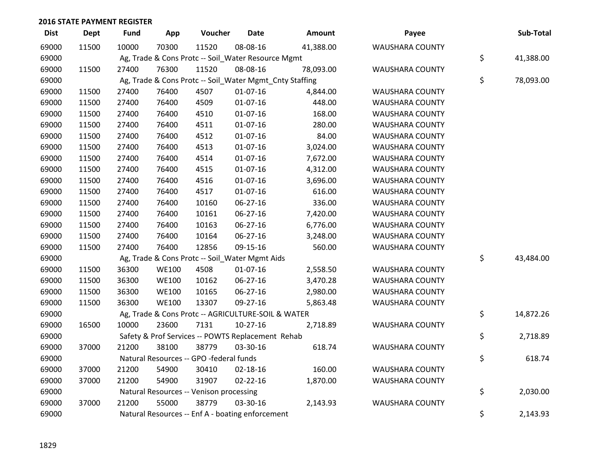| <b>Dist</b> | <b>Dept</b> | <b>Fund</b> | App          | Voucher                                                 | <b>Date</b>    | Amount    | Payee                  | Sub-Total       |
|-------------|-------------|-------------|--------------|---------------------------------------------------------|----------------|-----------|------------------------|-----------------|
| 69000       | 11500       | 10000       | 70300        | 11520                                                   | 08-08-16       | 41,388.00 | WAUSHARA COUNTY        |                 |
| 69000       |             |             |              | Ag, Trade & Cons Protc -- Soil_Water Resource Mgmt      |                |           |                        | \$<br>41,388.00 |
| 69000       | 11500       | 27400       | 76300        | 11520                                                   | 08-08-16       | 78,093.00 | <b>WAUSHARA COUNTY</b> |                 |
| 69000       |             |             |              | Ag, Trade & Cons Protc -- Soil_Water Mgmt_Cnty Staffing |                |           |                        | \$<br>78,093.00 |
| 69000       | 11500       | 27400       | 76400        | 4507                                                    | $01-07-16$     | 4,844.00  | <b>WAUSHARA COUNTY</b> |                 |
| 69000       | 11500       | 27400       | 76400        | 4509                                                    | $01-07-16$     | 448.00    | <b>WAUSHARA COUNTY</b> |                 |
| 69000       | 11500       | 27400       | 76400        | 4510                                                    | $01-07-16$     | 168.00    | <b>WAUSHARA COUNTY</b> |                 |
| 69000       | 11500       | 27400       | 76400        | 4511                                                    | $01-07-16$     | 280.00    | WAUSHARA COUNTY        |                 |
| 69000       | 11500       | 27400       | 76400        | 4512                                                    | 01-07-16       | 84.00     | <b>WAUSHARA COUNTY</b> |                 |
| 69000       | 11500       | 27400       | 76400        | 4513                                                    | $01-07-16$     | 3,024.00  | WAUSHARA COUNTY        |                 |
| 69000       | 11500       | 27400       | 76400        | 4514                                                    | $01-07-16$     | 7,672.00  | WAUSHARA COUNTY        |                 |
| 69000       | 11500       | 27400       | 76400        | 4515                                                    | $01 - 07 - 16$ | 4,312.00  | <b>WAUSHARA COUNTY</b> |                 |
| 69000       | 11500       | 27400       | 76400        | 4516                                                    | $01-07-16$     | 3,696.00  | WAUSHARA COUNTY        |                 |
| 69000       | 11500       | 27400       | 76400        | 4517                                                    | $01-07-16$     | 616.00    | <b>WAUSHARA COUNTY</b> |                 |
| 69000       | 11500       | 27400       | 76400        | 10160                                                   | 06-27-16       | 336.00    | <b>WAUSHARA COUNTY</b> |                 |
| 69000       | 11500       | 27400       | 76400        | 10161                                                   | 06-27-16       | 7,420.00  | <b>WAUSHARA COUNTY</b> |                 |
| 69000       | 11500       | 27400       | 76400        | 10163                                                   | 06-27-16       | 6,776.00  | <b>WAUSHARA COUNTY</b> |                 |
| 69000       | 11500       | 27400       | 76400        | 10164                                                   | 06-27-16       | 3,248.00  | WAUSHARA COUNTY        |                 |
| 69000       | 11500       | 27400       | 76400        | 12856                                                   | 09-15-16       | 560.00    | WAUSHARA COUNTY        |                 |
| 69000       |             |             |              | Ag, Trade & Cons Protc -- Soil_Water Mgmt Aids          |                |           |                        | \$<br>43,484.00 |
| 69000       | 11500       | 36300       | <b>WE100</b> | 4508                                                    | $01-07-16$     | 2,558.50  | <b>WAUSHARA COUNTY</b> |                 |
| 69000       | 11500       | 36300       | <b>WE100</b> | 10162                                                   | 06-27-16       | 3,470.28  | <b>WAUSHARA COUNTY</b> |                 |
| 69000       | 11500       | 36300       | <b>WE100</b> | 10165                                                   | 06-27-16       | 2,980.00  | <b>WAUSHARA COUNTY</b> |                 |
| 69000       | 11500       | 36300       | <b>WE100</b> | 13307                                                   | 09-27-16       | 5,863.48  | WAUSHARA COUNTY        |                 |
| 69000       |             |             |              | Ag, Trade & Cons Protc -- AGRICULTURE-SOIL & WATER      |                |           |                        | \$<br>14,872.26 |
| 69000       | 16500       | 10000       | 23600        | 7131                                                    | $10-27-16$     | 2,718.89  | <b>WAUSHARA COUNTY</b> |                 |
| 69000       |             |             |              | Safety & Prof Services -- POWTS Replacement Rehab       |                |           |                        | \$<br>2,718.89  |
| 69000       | 37000       | 21200       | 38100        | 38779                                                   | 03-30-16       | 618.74    | WAUSHARA COUNTY        |                 |
| 69000       |             |             |              | Natural Resources -- GPO -federal funds                 |                |           |                        | \$<br>618.74    |
| 69000       | 37000       | 21200       | 54900        | 30410                                                   | 02-18-16       | 160.00    | <b>WAUSHARA COUNTY</b> |                 |
| 69000       | 37000       | 21200       | 54900        | 31907                                                   | $02 - 22 - 16$ | 1,870.00  | WAUSHARA COUNTY        |                 |
| 69000       |             |             |              | Natural Resources -- Venison processing                 |                |           |                        | \$<br>2,030.00  |
| 69000       | 37000       | 21200       | 55000        | 38779                                                   | 03-30-16       | 2,143.93  | <b>WAUSHARA COUNTY</b> |                 |
| 69000       |             |             |              | Natural Resources -- Enf A - boating enforcement        |                |           |                        | \$<br>2,143.93  |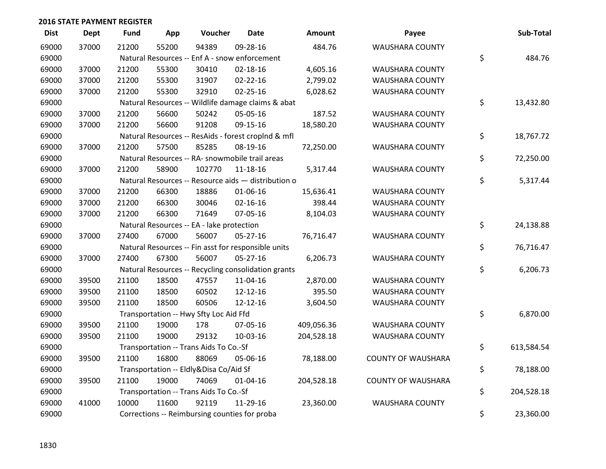| <b>Dist</b> | <b>Dept</b> | <b>Fund</b> | App   | Voucher                                             | <b>Date</b>    | Amount     | Payee                     | Sub-Total        |
|-------------|-------------|-------------|-------|-----------------------------------------------------|----------------|------------|---------------------------|------------------|
| 69000       | 37000       | 21200       | 55200 | 94389                                               | 09-28-16       | 484.76     | <b>WAUSHARA COUNTY</b>    |                  |
| 69000       |             |             |       | Natural Resources -- Enf A - snow enforcement       |                |            |                           | \$<br>484.76     |
| 69000       | 37000       | 21200       | 55300 | 30410                                               | 02-18-16       | 4,605.16   | <b>WAUSHARA COUNTY</b>    |                  |
| 69000       | 37000       | 21200       | 55300 | 31907                                               | $02 - 22 - 16$ | 2,799.02   | <b>WAUSHARA COUNTY</b>    |                  |
| 69000       | 37000       | 21200       | 55300 | 32910                                               | $02 - 25 - 16$ | 6,028.62   | WAUSHARA COUNTY           |                  |
| 69000       |             |             |       | Natural Resources -- Wildlife damage claims & abat  |                |            |                           | \$<br>13,432.80  |
| 69000       | 37000       | 21200       | 56600 | 50242                                               | 05-05-16       | 187.52     | WAUSHARA COUNTY           |                  |
| 69000       | 37000       | 21200       | 56600 | 91208                                               | 09-15-16       | 18,580.20  | WAUSHARA COUNTY           |                  |
| 69000       |             |             |       | Natural Resources -- ResAids - forest croplnd & mfl |                |            |                           | \$<br>18,767.72  |
| 69000       | 37000       | 21200       | 57500 | 85285                                               | 08-19-16       | 72,250.00  | WAUSHARA COUNTY           |                  |
| 69000       |             |             |       | Natural Resources -- RA- snowmobile trail areas     |                |            |                           | \$<br>72,250.00  |
| 69000       | 37000       | 21200       | 58900 | 102770                                              | 11-18-16       | 5,317.44   | <b>WAUSHARA COUNTY</b>    |                  |
| 69000       |             |             |       | Natural Resources -- Resource aids - distribution o |                |            |                           | \$<br>5,317.44   |
| 69000       | 37000       | 21200       | 66300 | 18886                                               | 01-06-16       | 15,636.41  | <b>WAUSHARA COUNTY</b>    |                  |
| 69000       | 37000       | 21200       | 66300 | 30046                                               | $02 - 16 - 16$ | 398.44     | WAUSHARA COUNTY           |                  |
| 69000       | 37000       | 21200       | 66300 | 71649                                               | 07-05-16       | 8,104.03   | WAUSHARA COUNTY           |                  |
| 69000       |             |             |       | Natural Resources -- EA - lake protection           |                |            |                           | \$<br>24,138.88  |
| 69000       | 37000       | 27400       | 67000 | 56007                                               | $05 - 27 - 16$ | 76,716.47  | WAUSHARA COUNTY           |                  |
| 69000       |             |             |       | Natural Resources -- Fin asst for responsible units |                |            |                           | \$<br>76,716.47  |
| 69000       | 37000       | 27400       | 67300 | 56007                                               | 05-27-16       | 6,206.73   | WAUSHARA COUNTY           |                  |
| 69000       |             |             |       | Natural Resources -- Recycling consolidation grants |                |            |                           | \$<br>6,206.73   |
| 69000       | 39500       | 21100       | 18500 | 47557                                               | 11-04-16       | 2,870.00   | <b>WAUSHARA COUNTY</b>    |                  |
| 69000       | 39500       | 21100       | 18500 | 60502                                               | 12-12-16       | 395.50     | WAUSHARA COUNTY           |                  |
| 69000       | 39500       | 21100       | 18500 | 60506                                               | 12-12-16       | 3,604.50   | WAUSHARA COUNTY           |                  |
| 69000       |             |             |       | Transportation -- Hwy Sfty Loc Aid Ffd              |                |            |                           | \$<br>6,870.00   |
| 69000       | 39500       | 21100       | 19000 | 178                                                 | 07-05-16       | 409,056.36 | WAUSHARA COUNTY           |                  |
| 69000       | 39500       | 21100       | 19000 | 29132                                               | 10-03-16       | 204,528.18 | WAUSHARA COUNTY           |                  |
| 69000       |             |             |       | Transportation -- Trans Aids To Co.-Sf              |                |            |                           | \$<br>613,584.54 |
| 69000       | 39500       | 21100       | 16800 | 88069                                               | 05-06-16       | 78,188.00  | <b>COUNTY OF WAUSHARA</b> |                  |
| 69000       |             |             |       | Transportation -- Eldly&Disa Co/Aid Sf              |                |            |                           | \$<br>78,188.00  |
| 69000       | 39500       | 21100       | 19000 | 74069                                               | $01 - 04 - 16$ | 204,528.18 | <b>COUNTY OF WAUSHARA</b> |                  |
| 69000       |             |             |       | Transportation -- Trans Aids To Co.-Sf              |                |            |                           | \$<br>204,528.18 |
| 69000       | 41000       | 10000       | 11600 | 92119                                               | 11-29-16       | 23,360.00  | <b>WAUSHARA COUNTY</b>    |                  |
| 69000       |             |             |       | Corrections -- Reimbursing counties for proba       |                |            |                           | \$<br>23,360.00  |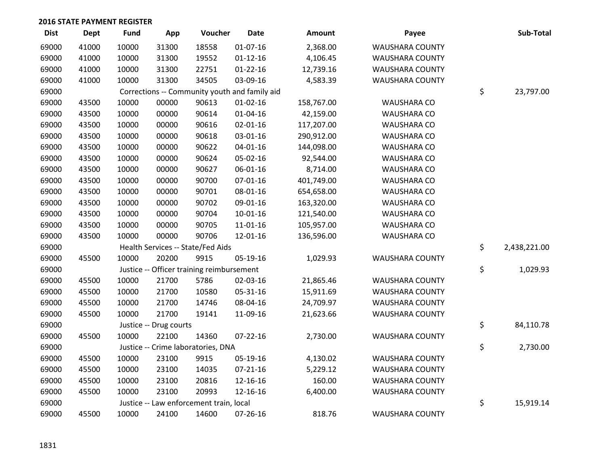| <b>Dist</b> | <b>Dept</b> | <b>Fund</b> | App                    | Voucher                                       | <b>Date</b>    | Amount     | Payee                  | Sub-Total          |
|-------------|-------------|-------------|------------------------|-----------------------------------------------|----------------|------------|------------------------|--------------------|
| 69000       | 41000       | 10000       | 31300                  | 18558                                         | 01-07-16       | 2,368.00   | <b>WAUSHARA COUNTY</b> |                    |
| 69000       | 41000       | 10000       | 31300                  | 19552                                         | $01 - 12 - 16$ | 4,106.45   | WAUSHARA COUNTY        |                    |
| 69000       | 41000       | 10000       | 31300                  | 22751                                         | $01 - 22 - 16$ | 12,739.16  | WAUSHARA COUNTY        |                    |
| 69000       | 41000       | 10000       | 31300                  | 34505                                         | 03-09-16       | 4,583.39   | WAUSHARA COUNTY        |                    |
| 69000       |             |             |                        | Corrections -- Community youth and family aid |                |            |                        | \$<br>23,797.00    |
| 69000       | 43500       | 10000       | 00000                  | 90613                                         | $01 - 02 - 16$ | 158,767.00 | <b>WAUSHARA CO</b>     |                    |
| 69000       | 43500       | 10000       | 00000                  | 90614                                         | $01 - 04 - 16$ | 42,159.00  | <b>WAUSHARA CO</b>     |                    |
| 69000       | 43500       | 10000       | 00000                  | 90616                                         | $02 - 01 - 16$ | 117,207.00 | WAUSHARA CO            |                    |
| 69000       | 43500       | 10000       | 00000                  | 90618                                         | 03-01-16       | 290,912.00 | WAUSHARA CO            |                    |
| 69000       | 43500       | 10000       | 00000                  | 90622                                         | $04 - 01 - 16$ | 144,098.00 | WAUSHARA CO            |                    |
| 69000       | 43500       | 10000       | 00000                  | 90624                                         | 05-02-16       | 92,544.00  | <b>WAUSHARA CO</b>     |                    |
| 69000       | 43500       | 10000       | 00000                  | 90627                                         | 06-01-16       | 8,714.00   | <b>WAUSHARA CO</b>     |                    |
| 69000       | 43500       | 10000       | 00000                  | 90700                                         | $07 - 01 - 16$ | 401,749.00 | WAUSHARA CO            |                    |
| 69000       | 43500       | 10000       | 00000                  | 90701                                         | 08-01-16       | 654,658.00 | WAUSHARA CO            |                    |
| 69000       | 43500       | 10000       | 00000                  | 90702                                         | 09-01-16       | 163,320.00 | WAUSHARA CO            |                    |
| 69000       | 43500       | 10000       | 00000                  | 90704                                         | $10-01-16$     | 121,540.00 | WAUSHARA CO            |                    |
| 69000       | 43500       | 10000       | 00000                  | 90705                                         | 11-01-16       | 105,957.00 | WAUSHARA CO            |                    |
| 69000       | 43500       | 10000       | 00000                  | 90706                                         | 12-01-16       | 136,596.00 | <b>WAUSHARA CO</b>     |                    |
| 69000       |             |             |                        | Health Services -- State/Fed Aids             |                |            |                        | \$<br>2,438,221.00 |
| 69000       | 45500       | 10000       | 20200                  | 9915                                          | 05-19-16       | 1,029.93   | WAUSHARA COUNTY        |                    |
| 69000       |             |             |                        | Justice -- Officer training reimbursement     |                |            |                        | \$<br>1,029.93     |
| 69000       | 45500       | 10000       | 21700                  | 5786                                          | 02-03-16       | 21,865.46  | WAUSHARA COUNTY        |                    |
| 69000       | 45500       | 10000       | 21700                  | 10580                                         | 05-31-16       | 15,911.69  | WAUSHARA COUNTY        |                    |
| 69000       | 45500       | 10000       | 21700                  | 14746                                         | 08-04-16       | 24,709.97  | WAUSHARA COUNTY        |                    |
| 69000       | 45500       | 10000       | 21700                  | 19141                                         | 11-09-16       | 21,623.66  | WAUSHARA COUNTY        |                    |
| 69000       |             |             | Justice -- Drug courts |                                               |                |            |                        | \$<br>84,110.78    |
| 69000       | 45500       | 10000       | 22100                  | 14360                                         | $07 - 22 - 16$ | 2,730.00   | <b>WAUSHARA COUNTY</b> |                    |
| 69000       |             |             |                        | Justice -- Crime laboratories, DNA            |                |            |                        | \$<br>2,730.00     |
| 69000       | 45500       | 10000       | 23100                  | 9915                                          | 05-19-16       | 4,130.02   | WAUSHARA COUNTY        |                    |
| 69000       | 45500       | 10000       | 23100                  | 14035                                         | $07 - 21 - 16$ | 5,229.12   | WAUSHARA COUNTY        |                    |
| 69000       | 45500       | 10000       | 23100                  | 20816                                         | 12-16-16       | 160.00     | WAUSHARA COUNTY        |                    |
| 69000       | 45500       | 10000       | 23100                  | 20993                                         | 12-16-16       | 6,400.00   | <b>WAUSHARA COUNTY</b> |                    |
| 69000       |             |             |                        | Justice -- Law enforcement train, local       |                |            |                        | \$<br>15,919.14    |
| 69000       | 45500       | 10000       | 24100                  | 14600                                         | 07-26-16       | 818.76     | <b>WAUSHARA COUNTY</b> |                    |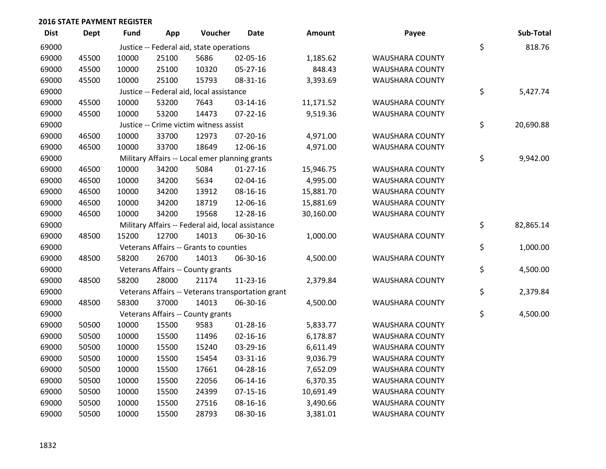| <b>Dist</b> | <b>Dept</b> | <b>Fund</b> | App   | Voucher                                           | <b>Date</b>                                       | <b>Amount</b> | Payee                  | Sub-Total       |
|-------------|-------------|-------------|-------|---------------------------------------------------|---------------------------------------------------|---------------|------------------------|-----------------|
| 69000       |             |             |       | Justice -- Federal aid, state operations          |                                                   |               |                        | \$<br>818.76    |
| 69000       | 45500       | 10000       | 25100 | 5686                                              | 02-05-16                                          | 1,185.62      | WAUSHARA COUNTY        |                 |
| 69000       | 45500       | 10000       | 25100 | 10320                                             | 05-27-16                                          | 848.43        | WAUSHARA COUNTY        |                 |
| 69000       | 45500       | 10000       | 25100 | 15793                                             | 08-31-16                                          | 3,393.69      | WAUSHARA COUNTY        |                 |
| 69000       |             |             |       | Justice -- Federal aid, local assistance          |                                                   |               |                        | \$<br>5,427.74  |
| 69000       | 45500       | 10000       | 53200 | 7643                                              | 03-14-16                                          | 11,171.52     | <b>WAUSHARA COUNTY</b> |                 |
| 69000       | 45500       | 10000       | 53200 | 14473                                             | $07 - 22 - 16$                                    | 9,519.36      | WAUSHARA COUNTY        |                 |
| 69000       |             |             |       | Justice -- Crime victim witness assist            |                                                   |               |                        | \$<br>20,690.88 |
| 69000       | 46500       | 10000       | 33700 | 12973                                             | 07-20-16                                          | 4,971.00      | WAUSHARA COUNTY        |                 |
| 69000       | 46500       | 10000       | 33700 | 18649                                             | 12-06-16                                          | 4,971.00      | WAUSHARA COUNTY        |                 |
| 69000       |             |             |       | Military Affairs -- Local emer planning grants    |                                                   |               |                        | \$<br>9,942.00  |
| 69000       | 46500       | 10000       | 34200 | 5084                                              | $01-27-16$                                        | 15,946.75     | <b>WAUSHARA COUNTY</b> |                 |
| 69000       | 46500       | 10000       | 34200 | 5634                                              | 02-04-16                                          | 4,995.00      | WAUSHARA COUNTY        |                 |
| 69000       | 46500       | 10000       | 34200 | 13912                                             | 08-16-16                                          | 15,881.70     | WAUSHARA COUNTY        |                 |
| 69000       | 46500       | 10000       | 34200 | 18719                                             | 12-06-16                                          | 15,881.69     | WAUSHARA COUNTY        |                 |
| 69000       | 46500       | 10000       | 34200 | 19568                                             | 12-28-16                                          | 30,160.00     | WAUSHARA COUNTY        |                 |
| 69000       |             |             |       | Military Affairs -- Federal aid, local assistance |                                                   |               |                        | \$<br>82,865.14 |
| 69000       | 48500       | 15200       | 12700 | 14013                                             | 06-30-16                                          | 1,000.00      | WAUSHARA COUNTY        |                 |
| 69000       |             |             |       | Veterans Affairs -- Grants to counties            |                                                   |               |                        | \$<br>1,000.00  |
| 69000       | 48500       | 58200       | 26700 | 14013                                             | 06-30-16                                          | 4,500.00      | WAUSHARA COUNTY        |                 |
| 69000       |             |             |       | Veterans Affairs -- County grants                 |                                                   |               |                        | \$<br>4,500.00  |
| 69000       | 48500       | 58200       | 28000 | 21174                                             | 11-23-16                                          | 2,379.84      | WAUSHARA COUNTY        |                 |
| 69000       |             |             |       |                                                   | Veterans Affairs -- Veterans transportation grant |               |                        | \$<br>2,379.84  |
| 69000       | 48500       | 58300       | 37000 | 14013                                             | 06-30-16                                          | 4,500.00      | WAUSHARA COUNTY        |                 |
| 69000       |             |             |       | Veterans Affairs -- County grants                 |                                                   |               |                        | \$<br>4,500.00  |
| 69000       | 50500       | 10000       | 15500 | 9583                                              | 01-28-16                                          | 5,833.77      | <b>WAUSHARA COUNTY</b> |                 |
| 69000       | 50500       | 10000       | 15500 | 11496                                             | $02 - 16 - 16$                                    | 6,178.87      | <b>WAUSHARA COUNTY</b> |                 |
| 69000       | 50500       | 10000       | 15500 | 15240                                             | 03-29-16                                          | 6,611.49      | <b>WAUSHARA COUNTY</b> |                 |
| 69000       | 50500       | 10000       | 15500 | 15454                                             | 03-31-16                                          | 9,036.79      | WAUSHARA COUNTY        |                 |
| 69000       | 50500       | 10000       | 15500 | 17661                                             | 04-28-16                                          | 7,652.09      | WAUSHARA COUNTY        |                 |
| 69000       | 50500       | 10000       | 15500 | 22056                                             | 06-14-16                                          | 6,370.35      | WAUSHARA COUNTY        |                 |
| 69000       | 50500       | 10000       | 15500 | 24399                                             | $07-15-16$                                        | 10,691.49     | <b>WAUSHARA COUNTY</b> |                 |
| 69000       | 50500       | 10000       | 15500 | 27516                                             | 08-16-16                                          | 3,490.66      | <b>WAUSHARA COUNTY</b> |                 |
| 69000       | 50500       | 10000       | 15500 | 28793                                             | 08-30-16                                          | 3,381.01      | <b>WAUSHARA COUNTY</b> |                 |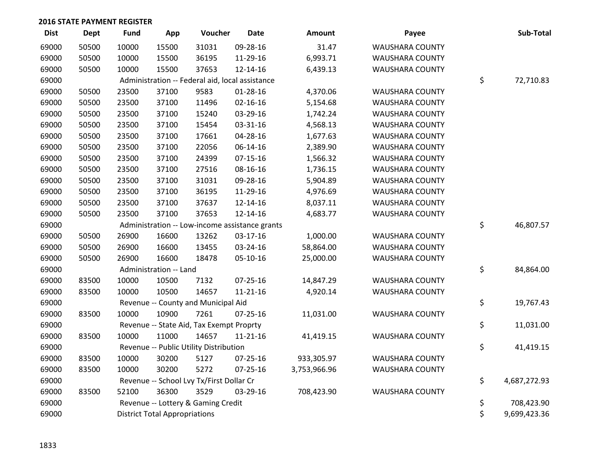| <b>Dist</b> | <b>Dept</b> | <b>Fund</b> | App                                  | Voucher                                         | <b>Date</b>                                    | Amount       | Payee                  | Sub-Total          |
|-------------|-------------|-------------|--------------------------------------|-------------------------------------------------|------------------------------------------------|--------------|------------------------|--------------------|
| 69000       | 50500       | 10000       | 15500                                | 31031                                           | 09-28-16                                       | 31.47        | WAUSHARA COUNTY        |                    |
| 69000       | 50500       | 10000       | 15500                                | 36195                                           | 11-29-16                                       | 6,993.71     | WAUSHARA COUNTY        |                    |
| 69000       | 50500       | 10000       | 15500                                | 37653                                           | 12-14-16                                       | 6,439.13     | WAUSHARA COUNTY        |                    |
| 69000       |             |             |                                      | Administration -- Federal aid, local assistance |                                                |              |                        | \$<br>72,710.83    |
| 69000       | 50500       | 23500       | 37100                                | 9583                                            | $01 - 28 - 16$                                 | 4,370.06     | WAUSHARA COUNTY        |                    |
| 69000       | 50500       | 23500       | 37100                                | 11496                                           | $02 - 16 - 16$                                 | 5,154.68     | WAUSHARA COUNTY        |                    |
| 69000       | 50500       | 23500       | 37100                                | 15240                                           | 03-29-16                                       | 1,742.24     | <b>WAUSHARA COUNTY</b> |                    |
| 69000       | 50500       | 23500       | 37100                                | 15454                                           | 03-31-16                                       | 4,568.13     | <b>WAUSHARA COUNTY</b> |                    |
| 69000       | 50500       | 23500       | 37100                                | 17661                                           | 04-28-16                                       | 1,677.63     | <b>WAUSHARA COUNTY</b> |                    |
| 69000       | 50500       | 23500       | 37100                                | 22056                                           | 06-14-16                                       | 2,389.90     | WAUSHARA COUNTY        |                    |
| 69000       | 50500       | 23500       | 37100                                | 24399                                           | $07-15-16$                                     | 1,566.32     | WAUSHARA COUNTY        |                    |
| 69000       | 50500       | 23500       | 37100                                | 27516                                           | 08-16-16                                       | 1,736.15     | WAUSHARA COUNTY        |                    |
| 69000       | 50500       | 23500       | 37100                                | 31031                                           | 09-28-16                                       | 5,904.89     | <b>WAUSHARA COUNTY</b> |                    |
| 69000       | 50500       | 23500       | 37100                                | 36195                                           | 11-29-16                                       | 4,976.69     | <b>WAUSHARA COUNTY</b> |                    |
| 69000       | 50500       | 23500       | 37100                                | 37637                                           | 12-14-16                                       | 8,037.11     | <b>WAUSHARA COUNTY</b> |                    |
| 69000       | 50500       | 23500       | 37100                                | 37653                                           | 12-14-16                                       | 4,683.77     | WAUSHARA COUNTY        |                    |
| 69000       |             |             |                                      |                                                 | Administration -- Low-income assistance grants |              |                        | \$<br>46,807.57    |
| 69000       | 50500       | 26900       | 16600                                | 13262                                           | 03-17-16                                       | 1,000.00     | WAUSHARA COUNTY        |                    |
| 69000       | 50500       | 26900       | 16600                                | 13455                                           | 03-24-16                                       | 58,864.00    | WAUSHARA COUNTY        |                    |
| 69000       | 50500       | 26900       | 16600                                | 18478                                           | 05-10-16                                       | 25,000.00    | <b>WAUSHARA COUNTY</b> |                    |
| 69000       |             |             | Administration -- Land               |                                                 |                                                |              |                        | \$<br>84,864.00    |
| 69000       | 83500       | 10000       | 10500                                | 7132                                            | $07 - 25 - 16$                                 | 14,847.29    | <b>WAUSHARA COUNTY</b> |                    |
| 69000       | 83500       | 10000       | 10500                                | 14657                                           | $11 - 21 - 16$                                 | 4,920.14     | WAUSHARA COUNTY        |                    |
| 69000       |             |             |                                      | Revenue -- County and Municipal Aid             |                                                |              |                        | \$<br>19,767.43    |
| 69000       | 83500       | 10000       | 10900                                | 7261                                            | $07 - 25 - 16$                                 | 11,031.00    | WAUSHARA COUNTY        |                    |
| 69000       |             |             |                                      | Revenue -- State Aid, Tax Exempt Proprty        |                                                |              |                        | \$<br>11,031.00    |
| 69000       | 83500       | 10000       | 11000                                | 14657                                           | $11 - 21 - 16$                                 | 41,419.15    | WAUSHARA COUNTY        |                    |
| 69000       |             |             |                                      | Revenue -- Public Utility Distribution          |                                                |              |                        | \$<br>41,419.15    |
| 69000       | 83500       | 10000       | 30200                                | 5127                                            | $07 - 25 - 16$                                 | 933,305.97   | <b>WAUSHARA COUNTY</b> |                    |
| 69000       | 83500       | 10000       | 30200                                | 5272                                            | $07 - 25 - 16$                                 | 3,753,966.96 | <b>WAUSHARA COUNTY</b> |                    |
| 69000       |             |             |                                      | Revenue -- School Lvy Tx/First Dollar Cr        |                                                |              |                        | \$<br>4,687,272.93 |
| 69000       | 83500       | 52100       | 36300                                | 3529                                            | 03-29-16                                       | 708,423.90   | WAUSHARA COUNTY        |                    |
| 69000       |             |             |                                      | Revenue -- Lottery & Gaming Credit              |                                                |              |                        | \$<br>708,423.90   |
| 69000       |             |             | <b>District Total Appropriations</b> |                                                 |                                                |              |                        | \$<br>9,699,423.36 |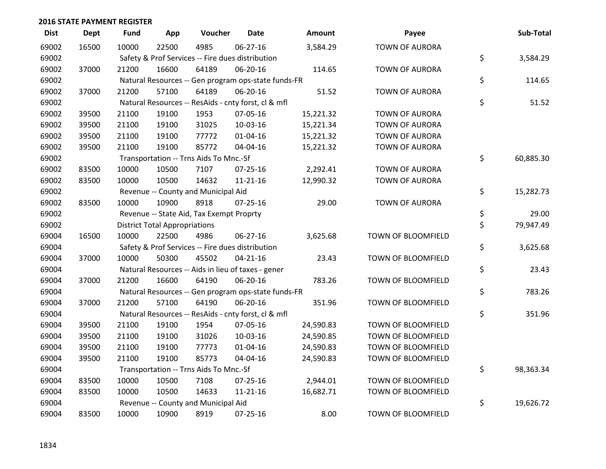| <b>Dist</b> | <b>Dept</b> | Fund  | App                                  | Voucher                                             | <b>Date</b>    | Amount    | Payee                 | Sub-Total       |
|-------------|-------------|-------|--------------------------------------|-----------------------------------------------------|----------------|-----------|-----------------------|-----------------|
| 69002       | 16500       | 10000 | 22500                                | 4985                                                | 06-27-16       | 3,584.29  | <b>TOWN OF AURORA</b> |                 |
| 69002       |             |       |                                      | Safety & Prof Services -- Fire dues distribution    |                |           |                       | \$<br>3,584.29  |
| 69002       | 37000       | 21200 | 16600                                | 64189                                               | 06-20-16       | 114.65    | <b>TOWN OF AURORA</b> |                 |
| 69002       |             |       |                                      | Natural Resources -- Gen program ops-state funds-FR |                |           |                       | \$<br>114.65    |
| 69002       | 37000       | 21200 | 57100                                | 64189                                               | 06-20-16       | 51.52     | <b>TOWN OF AURORA</b> |                 |
| 69002       |             |       |                                      | Natural Resources -- ResAids - cnty forst, cl & mfl |                |           |                       | \$<br>51.52     |
| 69002       | 39500       | 21100 | 19100                                | 1953                                                | 07-05-16       | 15,221.32 | <b>TOWN OF AURORA</b> |                 |
| 69002       | 39500       | 21100 | 19100                                | 31025                                               | 10-03-16       | 15,221.34 | <b>TOWN OF AURORA</b> |                 |
| 69002       | 39500       | 21100 | 19100                                | 77772                                               | $01 - 04 - 16$ | 15,221.32 | <b>TOWN OF AURORA</b> |                 |
| 69002       | 39500       | 21100 | 19100                                | 85772                                               | 04-04-16       | 15,221.32 | <b>TOWN OF AURORA</b> |                 |
| 69002       |             |       |                                      | Transportation -- Trns Aids To Mnc.-Sf              |                |           |                       | \$<br>60,885.30 |
| 69002       | 83500       | 10000 | 10500                                | 7107                                                | 07-25-16       | 2,292.41  | <b>TOWN OF AURORA</b> |                 |
| 69002       | 83500       | 10000 | 10500                                | 14632                                               | $11 - 21 - 16$ | 12,990.32 | <b>TOWN OF AURORA</b> |                 |
| 69002       |             |       |                                      | Revenue -- County and Municipal Aid                 |                |           |                       | \$<br>15,282.73 |
| 69002       | 83500       | 10000 | 10900                                | 8918                                                | $07 - 25 - 16$ | 29.00     | <b>TOWN OF AURORA</b> |                 |
| 69002       |             |       |                                      | Revenue -- State Aid, Tax Exempt Proprty            |                |           |                       | \$<br>29.00     |
| 69002       |             |       | <b>District Total Appropriations</b> |                                                     |                |           |                       | \$<br>79,947.49 |
| 69004       | 16500       | 10000 | 22500                                | 4986                                                | 06-27-16       | 3,625.68  | TOWN OF BLOOMFIELD    |                 |
| 69004       |             |       |                                      | Safety & Prof Services -- Fire dues distribution    |                |           |                       | \$<br>3,625.68  |
| 69004       | 37000       | 10000 | 50300                                | 45502                                               | $04 - 21 - 16$ | 23.43     | TOWN OF BLOOMFIELD    |                 |
| 69004       |             |       |                                      | Natural Resources -- Aids in lieu of taxes - gener  |                |           |                       | \$<br>23.43     |
| 69004       | 37000       | 21200 | 16600                                | 64190                                               | 06-20-16       | 783.26    | TOWN OF BLOOMFIELD    |                 |
| 69004       |             |       |                                      | Natural Resources -- Gen program ops-state funds-FR |                |           |                       | \$<br>783.26    |
| 69004       | 37000       | 21200 | 57100                                | 64190                                               | 06-20-16       | 351.96    | TOWN OF BLOOMFIELD    |                 |
| 69004       |             |       |                                      | Natural Resources -- ResAids - cnty forst, cl & mfl |                |           |                       | \$<br>351.96    |
| 69004       | 39500       | 21100 | 19100                                | 1954                                                | 07-05-16       | 24,590.83 | TOWN OF BLOOMFIELD    |                 |
| 69004       | 39500       | 21100 | 19100                                | 31026                                               | 10-03-16       | 24,590.85 | TOWN OF BLOOMFIELD    |                 |
| 69004       | 39500       | 21100 | 19100                                | 77773                                               | 01-04-16       | 24,590.83 | TOWN OF BLOOMFIELD    |                 |
| 69004       | 39500       | 21100 | 19100                                | 85773                                               | 04-04-16       | 24,590.83 | TOWN OF BLOOMFIELD    |                 |
| 69004       |             |       |                                      | Transportation -- Trns Aids To Mnc.-Sf              |                |           |                       | \$<br>98,363.34 |
| 69004       | 83500       | 10000 | 10500                                | 7108                                                | 07-25-16       | 2,944.01  | TOWN OF BLOOMFIELD    |                 |
| 69004       | 83500       | 10000 | 10500                                | 14633                                               | $11 - 21 - 16$ | 16,682.71 | TOWN OF BLOOMFIELD    |                 |
| 69004       |             |       |                                      | Revenue -- County and Municipal Aid                 |                |           |                       | \$<br>19,626.72 |
| 69004       | 83500       | 10000 | 10900                                | 8919                                                | $07 - 25 - 16$ | 8.00      | TOWN OF BLOOMFIELD    |                 |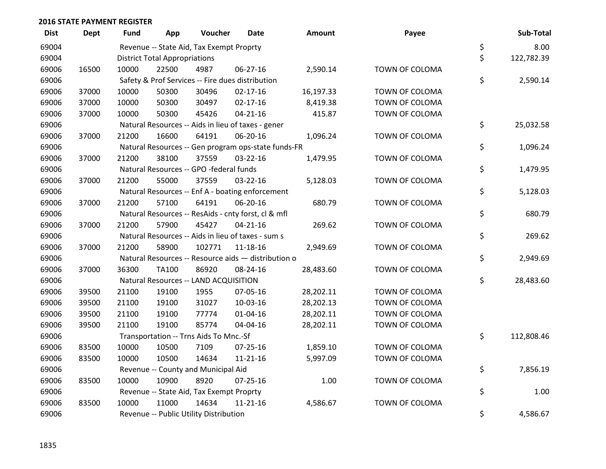| <b>Dist</b> | <b>Dept</b> | <b>Fund</b> | App                                  | Voucher                                  | <b>Date</b>                                         | Amount    | Payee          | Sub-Total        |
|-------------|-------------|-------------|--------------------------------------|------------------------------------------|-----------------------------------------------------|-----------|----------------|------------------|
| 69004       |             |             |                                      | Revenue -- State Aid, Tax Exempt Proprty |                                                     |           |                | \$<br>8.00       |
| 69004       |             |             | <b>District Total Appropriations</b> |                                          |                                                     |           |                | \$<br>122,782.39 |
| 69006       | 16500       | 10000       | 22500                                | 4987                                     | 06-27-16                                            | 2,590.14  | TOWN OF COLOMA |                  |
| 69006       |             |             |                                      |                                          | Safety & Prof Services -- Fire dues distribution    |           |                | \$<br>2,590.14   |
| 69006       | 37000       | 10000       | 50300                                | 30496                                    | $02 - 17 - 16$                                      | 16,197.33 | TOWN OF COLOMA |                  |
| 69006       | 37000       | 10000       | 50300                                | 30497                                    | $02 - 17 - 16$                                      | 8,419.38  | TOWN OF COLOMA |                  |
| 69006       | 37000       | 10000       | 50300                                | 45426                                    | $04 - 21 - 16$                                      | 415.87    | TOWN OF COLOMA |                  |
| 69006       |             |             |                                      |                                          | Natural Resources -- Aids in lieu of taxes - gener  |           |                | \$<br>25,032.58  |
| 69006       | 37000       | 21200       | 16600                                | 64191                                    | 06-20-16                                            | 1,096.24  | TOWN OF COLOMA |                  |
| 69006       |             |             |                                      |                                          | Natural Resources -- Gen program ops-state funds-FR |           |                | \$<br>1,096.24   |
| 69006       | 37000       | 21200       | 38100                                | 37559                                    | 03-22-16                                            | 1,479.95  | TOWN OF COLOMA |                  |
| 69006       |             |             |                                      | Natural Resources -- GPO -federal funds  |                                                     |           |                | \$<br>1,479.95   |
| 69006       | 37000       | 21200       | 55000                                | 37559                                    | 03-22-16                                            | 5,128.03  | TOWN OF COLOMA |                  |
| 69006       |             |             |                                      |                                          | Natural Resources -- Enf A - boating enforcement    |           |                | \$<br>5,128.03   |
| 69006       | 37000       | 21200       | 57100                                | 64191                                    | 06-20-16                                            | 680.79    | TOWN OF COLOMA |                  |
| 69006       |             |             |                                      |                                          | Natural Resources -- ResAids - cnty forst, cl & mfl |           |                | \$<br>680.79     |
| 69006       | 37000       | 21200       | 57900                                | 45427                                    | $04 - 21 - 16$                                      | 269.62    | TOWN OF COLOMA |                  |
| 69006       |             |             |                                      |                                          | Natural Resources -- Aids in lieu of taxes - sum s  |           |                | \$<br>269.62     |
| 69006       | 37000       | 21200       | 58900                                | 102771                                   | 11-18-16                                            | 2,949.69  | TOWN OF COLOMA |                  |
| 69006       |             |             |                                      |                                          | Natural Resources -- Resource aids - distribution o |           |                | \$<br>2,949.69   |
| 69006       | 37000       | 36300       | <b>TA100</b>                         | 86920                                    | 08-24-16                                            | 28,483.60 | TOWN OF COLOMA |                  |
| 69006       |             |             |                                      | Natural Resources -- LAND ACQUISITION    |                                                     |           |                | \$<br>28,483.60  |
| 69006       | 39500       | 21100       | 19100                                | 1955                                     | 07-05-16                                            | 28,202.11 | TOWN OF COLOMA |                  |
| 69006       | 39500       | 21100       | 19100                                | 31027                                    | 10-03-16                                            | 28,202.13 | TOWN OF COLOMA |                  |
| 69006       | 39500       | 21100       | 19100                                | 77774                                    | $01 - 04 - 16$                                      | 28,202.11 | TOWN OF COLOMA |                  |
| 69006       | 39500       | 21100       | 19100                                | 85774                                    | 04-04-16                                            | 28,202.11 | TOWN OF COLOMA |                  |
| 69006       |             |             |                                      | Transportation -- Trns Aids To Mnc.-Sf   |                                                     |           |                | \$<br>112,808.46 |
| 69006       | 83500       | 10000       | 10500                                | 7109                                     | $07 - 25 - 16$                                      | 1,859.10  | TOWN OF COLOMA |                  |
| 69006       | 83500       | 10000       | 10500                                | 14634                                    | $11 - 21 - 16$                                      | 5,997.09  | TOWN OF COLOMA |                  |
| 69006       |             |             |                                      | Revenue -- County and Municipal Aid      |                                                     |           |                | \$<br>7,856.19   |
| 69006       | 83500       | 10000       | 10900                                | 8920                                     | 07-25-16                                            | 1.00      | TOWN OF COLOMA |                  |
| 69006       |             |             |                                      | Revenue -- State Aid, Tax Exempt Proprty |                                                     |           |                | \$<br>1.00       |
| 69006       | 83500       | 10000       | 11000                                | 14634                                    | $11 - 21 - 16$                                      | 4,586.67  | TOWN OF COLOMA |                  |
| 69006       |             |             |                                      | Revenue -- Public Utility Distribution   |                                                     |           |                | \$<br>4,586.67   |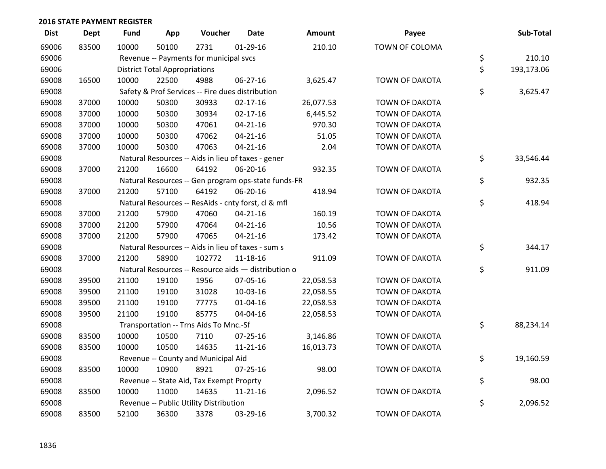| <b>Dist</b> | <b>Dept</b> | <b>Fund</b> | App                                  | Voucher                                  | <b>Date</b>                                         | Amount    | Payee                 | Sub-Total        |
|-------------|-------------|-------------|--------------------------------------|------------------------------------------|-----------------------------------------------------|-----------|-----------------------|------------------|
| 69006       | 83500       | 10000       | 50100                                | 2731                                     | $01-29-16$                                          | 210.10    | TOWN OF COLOMA        |                  |
| 69006       |             |             |                                      | Revenue -- Payments for municipal svcs   |                                                     |           |                       | \$<br>210.10     |
| 69006       |             |             | <b>District Total Appropriations</b> |                                          |                                                     |           |                       | \$<br>193,173.06 |
| 69008       | 16500       | 10000       | 22500                                | 4988                                     | 06-27-16                                            | 3,625.47  | <b>TOWN OF DAKOTA</b> |                  |
| 69008       |             |             |                                      |                                          | Safety & Prof Services -- Fire dues distribution    |           |                       | \$<br>3,625.47   |
| 69008       | 37000       | 10000       | 50300                                | 30933                                    | $02 - 17 - 16$                                      | 26,077.53 | TOWN OF DAKOTA        |                  |
| 69008       | 37000       | 10000       | 50300                                | 30934                                    | $02 - 17 - 16$                                      | 6,445.52  | TOWN OF DAKOTA        |                  |
| 69008       | 37000       | 10000       | 50300                                | 47061                                    | $04 - 21 - 16$                                      | 970.30    | TOWN OF DAKOTA        |                  |
| 69008       | 37000       | 10000       | 50300                                | 47062                                    | $04 - 21 - 16$                                      | 51.05     | TOWN OF DAKOTA        |                  |
| 69008       | 37000       | 10000       | 50300                                | 47063                                    | $04 - 21 - 16$                                      | 2.04      | TOWN OF DAKOTA        |                  |
| 69008       |             |             |                                      |                                          | Natural Resources -- Aids in lieu of taxes - gener  |           |                       | \$<br>33,546.44  |
| 69008       | 37000       | 21200       | 16600                                | 64192                                    | 06-20-16                                            | 932.35    | TOWN OF DAKOTA        |                  |
| 69008       |             |             |                                      |                                          | Natural Resources -- Gen program ops-state funds-FR |           |                       | \$<br>932.35     |
| 69008       | 37000       | 21200       | 57100                                | 64192                                    | 06-20-16                                            | 418.94    | <b>TOWN OF DAKOTA</b> |                  |
| 69008       |             |             |                                      |                                          | Natural Resources -- ResAids - cnty forst, cl & mfl |           |                       | \$<br>418.94     |
| 69008       | 37000       | 21200       | 57900                                | 47060                                    | $04 - 21 - 16$                                      | 160.19    | TOWN OF DAKOTA        |                  |
| 69008       | 37000       | 21200       | 57900                                | 47064                                    | $04 - 21 - 16$                                      | 10.56     | <b>TOWN OF DAKOTA</b> |                  |
| 69008       | 37000       | 21200       | 57900                                | 47065                                    | $04 - 21 - 16$                                      | 173.42    | TOWN OF DAKOTA        |                  |
| 69008       |             |             |                                      |                                          | Natural Resources -- Aids in lieu of taxes - sum s  |           |                       | \$<br>344.17     |
| 69008       | 37000       | 21200       | 58900                                | 102772                                   | 11-18-16                                            | 911.09    | TOWN OF DAKOTA        |                  |
| 69008       |             |             |                                      |                                          | Natural Resources -- Resource aids - distribution o |           |                       | \$<br>911.09     |
| 69008       | 39500       | 21100       | 19100                                | 1956                                     | 07-05-16                                            | 22,058.53 | TOWN OF DAKOTA        |                  |
| 69008       | 39500       | 21100       | 19100                                | 31028                                    | 10-03-16                                            | 22,058.55 | TOWN OF DAKOTA        |                  |
| 69008       | 39500       | 21100       | 19100                                | 77775                                    | $01 - 04 - 16$                                      | 22,058.53 | TOWN OF DAKOTA        |                  |
| 69008       | 39500       | 21100       | 19100                                | 85775                                    | 04-04-16                                            | 22,058.53 | TOWN OF DAKOTA        |                  |
| 69008       |             |             |                                      | Transportation -- Trns Aids To Mnc.-Sf   |                                                     |           |                       | \$<br>88,234.14  |
| 69008       | 83500       | 10000       | 10500                                | 7110                                     | $07 - 25 - 16$                                      | 3,146.86  | TOWN OF DAKOTA        |                  |
| 69008       | 83500       | 10000       | 10500                                | 14635                                    | $11 - 21 - 16$                                      | 16,013.73 | TOWN OF DAKOTA        |                  |
| 69008       |             |             |                                      | Revenue -- County and Municipal Aid      |                                                     |           |                       | \$<br>19,160.59  |
| 69008       | 83500       | 10000       | 10900                                | 8921                                     | $07 - 25 - 16$                                      | 98.00     | <b>TOWN OF DAKOTA</b> |                  |
| 69008       |             |             |                                      | Revenue -- State Aid, Tax Exempt Proprty |                                                     |           |                       | \$<br>98.00      |
| 69008       | 83500       | 10000       | 11000                                | 14635                                    | $11 - 21 - 16$                                      | 2,096.52  | TOWN OF DAKOTA        |                  |
| 69008       |             |             |                                      | Revenue -- Public Utility Distribution   |                                                     |           |                       | \$<br>2,096.52   |
| 69008       | 83500       | 52100       | 36300                                | 3378                                     | 03-29-16                                            | 3,700.32  | <b>TOWN OF DAKOTA</b> |                  |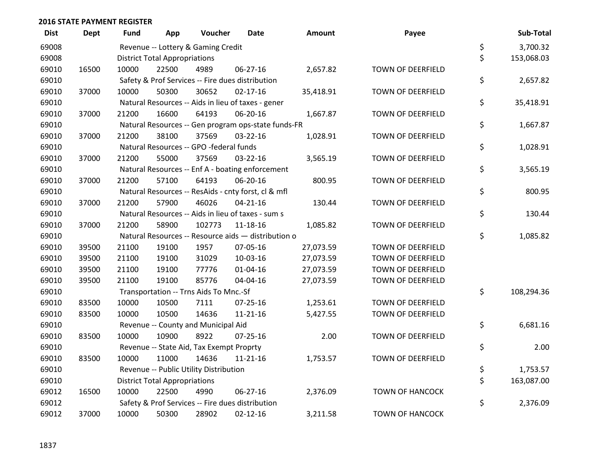| <b>Dist</b> | <b>Dept</b> | <b>Fund</b> | App                                  | Voucher                                          | <b>Date</b>                                         | Amount    | Payee                  | Sub-Total        |
|-------------|-------------|-------------|--------------------------------------|--------------------------------------------------|-----------------------------------------------------|-----------|------------------------|------------------|
| 69008       |             |             |                                      | Revenue -- Lottery & Gaming Credit               |                                                     |           |                        | \$<br>3,700.32   |
| 69008       |             |             | <b>District Total Appropriations</b> |                                                  |                                                     |           |                        | \$<br>153,068.03 |
| 69010       | 16500       | 10000       | 22500                                | 4989                                             | 06-27-16                                            | 2,657.82  | TOWN OF DEERFIELD      |                  |
| 69010       |             |             |                                      | Safety & Prof Services -- Fire dues distribution |                                                     |           |                        | \$<br>2,657.82   |
| 69010       | 37000       | 10000       | 50300                                | 30652                                            | $02 - 17 - 16$                                      | 35,418.91 | TOWN OF DEERFIELD      |                  |
| 69010       |             |             |                                      |                                                  | Natural Resources -- Aids in lieu of taxes - gener  |           |                        | \$<br>35,418.91  |
| 69010       | 37000       | 21200       | 16600                                | 64193                                            | 06-20-16                                            | 1,667.87  | TOWN OF DEERFIELD      |                  |
| 69010       |             |             |                                      |                                                  | Natural Resources -- Gen program ops-state funds-FR |           |                        | \$<br>1,667.87   |
| 69010       | 37000       | 21200       | 38100                                | 37569                                            | 03-22-16                                            | 1,028.91  | TOWN OF DEERFIELD      |                  |
| 69010       |             |             |                                      | Natural Resources -- GPO -federal funds          |                                                     |           |                        | \$<br>1,028.91   |
| 69010       | 37000       | 21200       | 55000                                | 37569                                            | 03-22-16                                            | 3,565.19  | TOWN OF DEERFIELD      |                  |
| 69010       |             |             |                                      |                                                  | Natural Resources -- Enf A - boating enforcement    |           |                        | \$<br>3,565.19   |
| 69010       | 37000       | 21200       | 57100                                | 64193                                            | 06-20-16                                            | 800.95    | TOWN OF DEERFIELD      |                  |
| 69010       |             |             |                                      |                                                  | Natural Resources -- ResAids - cnty forst, cl & mfl |           |                        | \$<br>800.95     |
| 69010       | 37000       | 21200       | 57900                                | 46026                                            | $04 - 21 - 16$                                      | 130.44    | TOWN OF DEERFIELD      |                  |
| 69010       |             |             |                                      |                                                  | Natural Resources -- Aids in lieu of taxes - sum s  |           |                        | \$<br>130.44     |
| 69010       | 37000       | 21200       | 58900                                | 102773                                           | 11-18-16                                            | 1,085.82  | TOWN OF DEERFIELD      |                  |
| 69010       |             |             |                                      |                                                  | Natural Resources -- Resource aids - distribution o |           |                        | \$<br>1,085.82   |
| 69010       | 39500       | 21100       | 19100                                | 1957                                             | 07-05-16                                            | 27,073.59 | TOWN OF DEERFIELD      |                  |
| 69010       | 39500       | 21100       | 19100                                | 31029                                            | 10-03-16                                            | 27,073.59 | TOWN OF DEERFIELD      |                  |
| 69010       | 39500       | 21100       | 19100                                | 77776                                            | $01 - 04 - 16$                                      | 27,073.59 | TOWN OF DEERFIELD      |                  |
| 69010       | 39500       | 21100       | 19100                                | 85776                                            | 04-04-16                                            | 27,073.59 | TOWN OF DEERFIELD      |                  |
| 69010       |             |             |                                      | Transportation -- Trns Aids To Mnc.-Sf           |                                                     |           |                        | \$<br>108,294.36 |
| 69010       | 83500       | 10000       | 10500                                | 7111                                             | $07 - 25 - 16$                                      | 1,253.61  | TOWN OF DEERFIELD      |                  |
| 69010       | 83500       | 10000       | 10500                                | 14636                                            | $11 - 21 - 16$                                      | 5,427.55  | TOWN OF DEERFIELD      |                  |
| 69010       |             |             |                                      | Revenue -- County and Municipal Aid              |                                                     |           |                        | \$<br>6,681.16   |
| 69010       | 83500       | 10000       | 10900                                | 8922                                             | 07-25-16                                            | 2.00      | TOWN OF DEERFIELD      |                  |
| 69010       |             |             |                                      | Revenue -- State Aid, Tax Exempt Proprty         |                                                     |           |                        | \$<br>2.00       |
| 69010       | 83500       | 10000       | 11000                                | 14636                                            | $11 - 21 - 16$                                      | 1,753.57  | TOWN OF DEERFIELD      |                  |
| 69010       |             |             |                                      | Revenue -- Public Utility Distribution           |                                                     |           |                        | \$<br>1,753.57   |
| 69010       |             |             | <b>District Total Appropriations</b> |                                                  |                                                     |           |                        | \$<br>163,087.00 |
| 69012       | 16500       | 10000       | 22500                                | 4990                                             | 06-27-16                                            | 2,376.09  | <b>TOWN OF HANCOCK</b> |                  |
| 69012       |             |             |                                      | Safety & Prof Services -- Fire dues distribution |                                                     |           |                        | \$<br>2,376.09   |
| 69012       | 37000       | 10000       | 50300                                | 28902                                            | $02 - 12 - 16$                                      | 3,211.58  | <b>TOWN OF HANCOCK</b> |                  |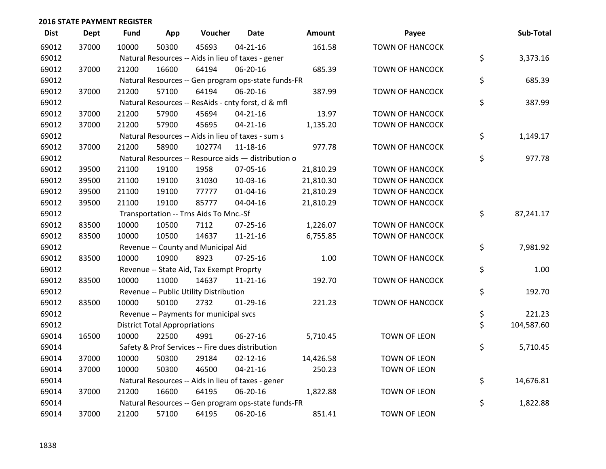| <b>Dist</b> | <b>Dept</b> | <b>Fund</b> | App                                  | Voucher                                  | Date                                                | Amount    | Payee                  | Sub-Total        |
|-------------|-------------|-------------|--------------------------------------|------------------------------------------|-----------------------------------------------------|-----------|------------------------|------------------|
| 69012       | 37000       | 10000       | 50300                                | 45693                                    | $04 - 21 - 16$                                      | 161.58    | <b>TOWN OF HANCOCK</b> |                  |
| 69012       |             |             |                                      |                                          | Natural Resources -- Aids in lieu of taxes - gener  |           |                        | \$<br>3,373.16   |
| 69012       | 37000       | 21200       | 16600                                | 64194                                    | 06-20-16                                            | 685.39    | <b>TOWN OF HANCOCK</b> |                  |
| 69012       |             |             |                                      |                                          | Natural Resources -- Gen program ops-state funds-FR |           |                        | \$<br>685.39     |
| 69012       | 37000       | 21200       | 57100                                | 64194                                    | 06-20-16                                            | 387.99    | <b>TOWN OF HANCOCK</b> |                  |
| 69012       |             |             |                                      |                                          | Natural Resources -- ResAids - cnty forst, cl & mfl |           |                        | \$<br>387.99     |
| 69012       | 37000       | 21200       | 57900                                | 45694                                    | $04 - 21 - 16$                                      | 13.97     | <b>TOWN OF HANCOCK</b> |                  |
| 69012       | 37000       | 21200       | 57900                                | 45695                                    | $04 - 21 - 16$                                      | 1,135.20  | <b>TOWN OF HANCOCK</b> |                  |
| 69012       |             |             |                                      |                                          | Natural Resources -- Aids in lieu of taxes - sum s  |           |                        | \$<br>1,149.17   |
| 69012       | 37000       | 21200       | 58900                                | 102774                                   | 11-18-16                                            | 977.78    | <b>TOWN OF HANCOCK</b> |                  |
| 69012       |             |             |                                      |                                          | Natural Resources -- Resource aids - distribution o |           |                        | \$<br>977.78     |
| 69012       | 39500       | 21100       | 19100                                | 1958                                     | 07-05-16                                            | 21,810.29 | <b>TOWN OF HANCOCK</b> |                  |
| 69012       | 39500       | 21100       | 19100                                | 31030                                    | 10-03-16                                            | 21,810.30 | <b>TOWN OF HANCOCK</b> |                  |
| 69012       | 39500       | 21100       | 19100                                | 77777                                    | $01 - 04 - 16$                                      | 21,810.29 | <b>TOWN OF HANCOCK</b> |                  |
| 69012       | 39500       | 21100       | 19100                                | 85777                                    | 04-04-16                                            | 21,810.29 | <b>TOWN OF HANCOCK</b> |                  |
| 69012       |             |             |                                      | Transportation -- Trns Aids To Mnc.-Sf   |                                                     |           |                        | \$<br>87,241.17  |
| 69012       | 83500       | 10000       | 10500                                | 7112                                     | 07-25-16                                            | 1,226.07  | <b>TOWN OF HANCOCK</b> |                  |
| 69012       | 83500       | 10000       | 10500                                | 14637                                    | $11 - 21 - 16$                                      | 6,755.85  | <b>TOWN OF HANCOCK</b> |                  |
| 69012       |             |             |                                      | Revenue -- County and Municipal Aid      |                                                     |           |                        | \$<br>7,981.92   |
| 69012       | 83500       | 10000       | 10900                                | 8923                                     | $07 - 25 - 16$                                      | 1.00      | <b>TOWN OF HANCOCK</b> |                  |
| 69012       |             |             |                                      | Revenue -- State Aid, Tax Exempt Proprty |                                                     |           |                        | \$<br>1.00       |
| 69012       | 83500       | 10000       | 11000                                | 14637                                    | $11 - 21 - 16$                                      | 192.70    | <b>TOWN OF HANCOCK</b> |                  |
| 69012       |             |             |                                      | Revenue -- Public Utility Distribution   |                                                     |           |                        | \$<br>192.70     |
| 69012       | 83500       | 10000       | 50100                                | 2732                                     | $01-29-16$                                          | 221.23    | <b>TOWN OF HANCOCK</b> |                  |
| 69012       |             |             |                                      | Revenue -- Payments for municipal svcs   |                                                     |           |                        | \$<br>221.23     |
| 69012       |             |             | <b>District Total Appropriations</b> |                                          |                                                     |           |                        | \$<br>104,587.60 |
| 69014       | 16500       | 10000       | 22500                                | 4991                                     | 06-27-16                                            | 5,710.45  | TOWN OF LEON           |                  |
| 69014       |             |             |                                      |                                          | Safety & Prof Services -- Fire dues distribution    |           |                        | \$<br>5,710.45   |
| 69014       | 37000       | 10000       | 50300                                | 29184                                    | $02 - 12 - 16$                                      | 14,426.58 | TOWN OF LEON           |                  |
| 69014       | 37000       | 10000       | 50300                                | 46500                                    | $04 - 21 - 16$                                      | 250.23    | TOWN OF LEON           |                  |
| 69014       |             |             |                                      |                                          | Natural Resources -- Aids in lieu of taxes - gener  |           |                        | \$<br>14,676.81  |
| 69014       | 37000       | 21200       | 16600                                | 64195                                    | 06-20-16                                            | 1,822.88  | <b>TOWN OF LEON</b>    |                  |
| 69014       |             |             |                                      |                                          | Natural Resources -- Gen program ops-state funds-FR |           |                        | \$<br>1,822.88   |
| 69014       | 37000       | 21200       | 57100                                | 64195                                    | 06-20-16                                            | 851.41    | <b>TOWN OF LEON</b>    |                  |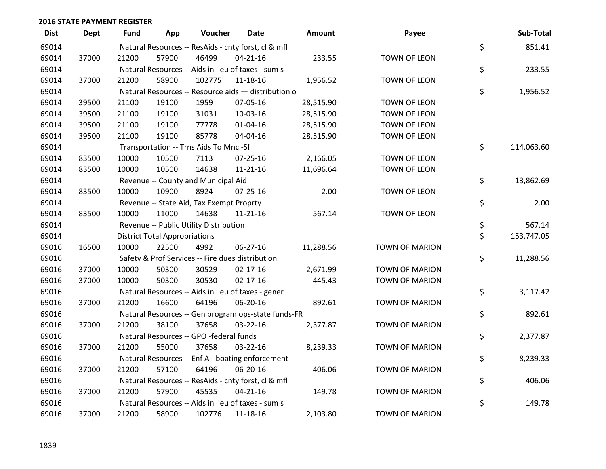| <b>Dist</b> | <b>Dept</b> | Fund  | App                                  | Voucher                                             | Date           | <b>Amount</b> | Payee                 | Sub-Total        |
|-------------|-------------|-------|--------------------------------------|-----------------------------------------------------|----------------|---------------|-----------------------|------------------|
| 69014       |             |       |                                      | Natural Resources -- ResAids - cnty forst, cl & mfl |                |               |                       | \$<br>851.41     |
| 69014       | 37000       | 21200 | 57900                                | 46499                                               | $04 - 21 - 16$ | 233.55        | TOWN OF LEON          |                  |
| 69014       |             |       |                                      | Natural Resources -- Aids in lieu of taxes - sum s  |                |               |                       | \$<br>233.55     |
| 69014       | 37000       | 21200 | 58900                                | 102775                                              | $11 - 18 - 16$ | 1,956.52      | TOWN OF LEON          |                  |
| 69014       |             |       |                                      | Natural Resources -- Resource aids - distribution o |                |               |                       | \$<br>1,956.52   |
| 69014       | 39500       | 21100 | 19100                                | 1959                                                | 07-05-16       | 28,515.90     | TOWN OF LEON          |                  |
| 69014       | 39500       | 21100 | 19100                                | 31031                                               | 10-03-16       | 28,515.90     | TOWN OF LEON          |                  |
| 69014       | 39500       | 21100 | 19100                                | 77778                                               | $01 - 04 - 16$ | 28,515.90     | <b>TOWN OF LEON</b>   |                  |
| 69014       | 39500       | 21100 | 19100                                | 85778                                               | 04-04-16       | 28,515.90     | TOWN OF LEON          |                  |
| 69014       |             |       |                                      | Transportation -- Trns Aids To Mnc.-Sf              |                |               |                       | \$<br>114,063.60 |
| 69014       | 83500       | 10000 | 10500                                | 7113                                                | 07-25-16       | 2,166.05      | TOWN OF LEON          |                  |
| 69014       | 83500       | 10000 | 10500                                | 14638                                               | $11 - 21 - 16$ | 11,696.64     | TOWN OF LEON          |                  |
| 69014       |             |       |                                      | Revenue -- County and Municipal Aid                 |                |               |                       | \$<br>13,862.69  |
| 69014       | 83500       | 10000 | 10900                                | 8924                                                | $07 - 25 - 16$ | 2.00          | TOWN OF LEON          |                  |
| 69014       |             |       |                                      | Revenue -- State Aid, Tax Exempt Proprty            |                |               |                       | \$<br>2.00       |
| 69014       | 83500       | 10000 | 11000                                | 14638                                               | $11 - 21 - 16$ | 567.14        | TOWN OF LEON          |                  |
| 69014       |             |       |                                      | Revenue -- Public Utility Distribution              |                |               |                       | \$<br>567.14     |
| 69014       |             |       | <b>District Total Appropriations</b> |                                                     |                |               |                       | \$<br>153,747.05 |
| 69016       | 16500       | 10000 | 22500                                | 4992                                                | 06-27-16       | 11,288.56     | <b>TOWN OF MARION</b> |                  |
| 69016       |             |       |                                      | Safety & Prof Services -- Fire dues distribution    |                |               |                       | \$<br>11,288.56  |
| 69016       | 37000       | 10000 | 50300                                | 30529                                               | $02 - 17 - 16$ | 2,671.99      | <b>TOWN OF MARION</b> |                  |
| 69016       | 37000       | 10000 | 50300                                | 30530                                               | $02 - 17 - 16$ | 445.43        | <b>TOWN OF MARION</b> |                  |
| 69016       |             |       |                                      | Natural Resources -- Aids in lieu of taxes - gener  |                |               |                       | \$<br>3,117.42   |
| 69016       | 37000       | 21200 | 16600                                | 64196                                               | 06-20-16       | 892.61        | <b>TOWN OF MARION</b> |                  |
| 69016       |             |       |                                      | Natural Resources -- Gen program ops-state funds-FR |                |               |                       | \$<br>892.61     |
| 69016       | 37000       | 21200 | 38100                                | 37658                                               | 03-22-16       | 2,377.87      | <b>TOWN OF MARION</b> |                  |
| 69016       |             |       |                                      | Natural Resources -- GPO -federal funds             |                |               |                       | \$<br>2,377.87   |
| 69016       | 37000       | 21200 | 55000                                | 37658                                               | 03-22-16       | 8,239.33      | <b>TOWN OF MARION</b> |                  |
| 69016       |             |       |                                      | Natural Resources -- Enf A - boating enforcement    |                |               |                       | \$<br>8,239.33   |
| 69016       | 37000       | 21200 | 57100                                | 64196                                               | 06-20-16       | 406.06        | <b>TOWN OF MARION</b> |                  |
| 69016       |             |       |                                      | Natural Resources -- ResAids - cnty forst, cl & mfl |                |               |                       | \$<br>406.06     |
| 69016       | 37000       | 21200 | 57900                                | 45535                                               | $04 - 21 - 16$ | 149.78        | <b>TOWN OF MARION</b> |                  |
| 69016       |             |       |                                      | Natural Resources -- Aids in lieu of taxes - sum s  |                |               |                       | \$<br>149.78     |
| 69016       | 37000       | 21200 | 58900                                | 102776                                              | 11-18-16       | 2,103.80      | <b>TOWN OF MARION</b> |                  |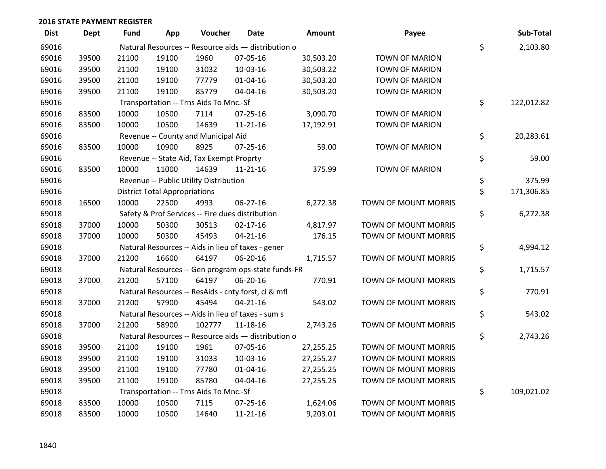| <b>Dist</b> | <b>Dept</b> | Fund  | App                                  | Voucher                                  | <b>Date</b>                                         | <b>Amount</b> | Payee                       | Sub-Total        |
|-------------|-------------|-------|--------------------------------------|------------------------------------------|-----------------------------------------------------|---------------|-----------------------------|------------------|
| 69016       |             |       |                                      |                                          | Natural Resources -- Resource aids - distribution o |               |                             | \$<br>2,103.80   |
| 69016       | 39500       | 21100 | 19100                                | 1960                                     | 07-05-16                                            | 30,503.20     | <b>TOWN OF MARION</b>       |                  |
| 69016       | 39500       | 21100 | 19100                                | 31032                                    | 10-03-16                                            | 30,503.22     | <b>TOWN OF MARION</b>       |                  |
| 69016       | 39500       | 21100 | 19100                                | 77779                                    | $01 - 04 - 16$                                      | 30,503.20     | <b>TOWN OF MARION</b>       |                  |
| 69016       | 39500       | 21100 | 19100                                | 85779                                    | 04-04-16                                            | 30,503.20     | <b>TOWN OF MARION</b>       |                  |
| 69016       |             |       |                                      | Transportation -- Trns Aids To Mnc.-Sf   |                                                     |               |                             | \$<br>122,012.82 |
| 69016       | 83500       | 10000 | 10500                                | 7114                                     | 07-25-16                                            | 3,090.70      | <b>TOWN OF MARION</b>       |                  |
| 69016       | 83500       | 10000 | 10500                                | 14639                                    | $11 - 21 - 16$                                      | 17,192.91     | <b>TOWN OF MARION</b>       |                  |
| 69016       |             |       |                                      | Revenue -- County and Municipal Aid      |                                                     |               |                             | \$<br>20,283.61  |
| 69016       | 83500       | 10000 | 10900                                | 8925                                     | $07 - 25 - 16$                                      | 59.00         | <b>TOWN OF MARION</b>       |                  |
| 69016       |             |       |                                      | Revenue -- State Aid, Tax Exempt Proprty |                                                     |               |                             | \$<br>59.00      |
| 69016       | 83500       | 10000 | 11000                                | 14639                                    | $11 - 21 - 16$                                      | 375.99        | <b>TOWN OF MARION</b>       |                  |
| 69016       |             |       |                                      | Revenue -- Public Utility Distribution   |                                                     |               |                             | \$<br>375.99     |
| 69016       |             |       | <b>District Total Appropriations</b> |                                          |                                                     |               |                             | \$<br>171,306.85 |
| 69018       | 16500       | 10000 | 22500                                | 4993                                     | 06-27-16                                            | 6,272.38      | <b>TOWN OF MOUNT MORRIS</b> |                  |
| 69018       |             |       |                                      |                                          | Safety & Prof Services -- Fire dues distribution    |               |                             | \$<br>6,272.38   |
| 69018       | 37000       | 10000 | 50300                                | 30513                                    | $02 - 17 - 16$                                      | 4,817.97      | TOWN OF MOUNT MORRIS        |                  |
| 69018       | 37000       | 10000 | 50300                                | 45493                                    | $04 - 21 - 16$                                      | 176.15        | TOWN OF MOUNT MORRIS        |                  |
| 69018       |             |       |                                      |                                          | Natural Resources -- Aids in lieu of taxes - gener  |               |                             | \$<br>4,994.12   |
| 69018       | 37000       | 21200 | 16600                                | 64197                                    | 06-20-16                                            | 1,715.57      | <b>TOWN OF MOUNT MORRIS</b> |                  |
| 69018       |             |       |                                      |                                          | Natural Resources -- Gen program ops-state funds-FR |               |                             | \$<br>1,715.57   |
| 69018       | 37000       | 21200 | 57100                                | 64197                                    | 06-20-16                                            | 770.91        | TOWN OF MOUNT MORRIS        |                  |
| 69018       |             |       |                                      |                                          | Natural Resources -- ResAids - cnty forst, cl & mfl |               |                             | \$<br>770.91     |
| 69018       | 37000       | 21200 | 57900                                | 45494                                    | $04 - 21 - 16$                                      | 543.02        | <b>TOWN OF MOUNT MORRIS</b> |                  |
| 69018       |             |       |                                      |                                          | Natural Resources -- Aids in lieu of taxes - sum s  |               |                             | \$<br>543.02     |
| 69018       | 37000       | 21200 | 58900                                | 102777                                   | $11 - 18 - 16$                                      | 2,743.26      | TOWN OF MOUNT MORRIS        |                  |
| 69018       |             |       |                                      |                                          | Natural Resources -- Resource aids - distribution o |               |                             | \$<br>2,743.26   |
| 69018       | 39500       | 21100 | 19100                                | 1961                                     | 07-05-16                                            | 27,255.25     | <b>TOWN OF MOUNT MORRIS</b> |                  |
| 69018       | 39500       | 21100 | 19100                                | 31033                                    | 10-03-16                                            | 27,255.27     | TOWN OF MOUNT MORRIS        |                  |
| 69018       | 39500       | 21100 | 19100                                | 77780                                    | $01 - 04 - 16$                                      | 27,255.25     | TOWN OF MOUNT MORRIS        |                  |
| 69018       | 39500       | 21100 | 19100                                | 85780                                    | 04-04-16                                            | 27,255.25     | TOWN OF MOUNT MORRIS        |                  |
| 69018       |             |       |                                      | Transportation -- Trns Aids To Mnc.-Sf   |                                                     |               |                             | \$<br>109,021.02 |
| 69018       | 83500       | 10000 | 10500                                | 7115                                     | 07-25-16                                            | 1,624.06      | TOWN OF MOUNT MORRIS        |                  |
| 69018       | 83500       | 10000 | 10500                                | 14640                                    | $11 - 21 - 16$                                      | 9,203.01      | <b>TOWN OF MOUNT MORRIS</b> |                  |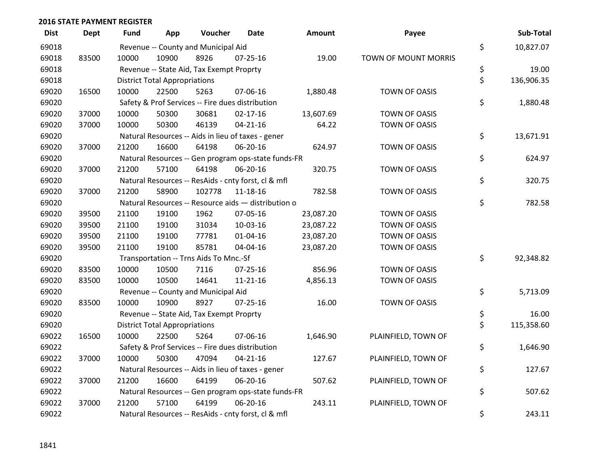| <b>Dist</b> | Dept  | <b>Fund</b> | App                                  | Voucher                                  | <b>Date</b>                                         | <b>Amount</b> | Payee                | Sub-Total        |
|-------------|-------|-------------|--------------------------------------|------------------------------------------|-----------------------------------------------------|---------------|----------------------|------------------|
| 69018       |       |             |                                      | Revenue -- County and Municipal Aid      |                                                     |               |                      | \$<br>10,827.07  |
| 69018       | 83500 | 10000       | 10900                                | 8926                                     | $07 - 25 - 16$                                      | 19.00         | TOWN OF MOUNT MORRIS |                  |
| 69018       |       |             |                                      | Revenue -- State Aid, Tax Exempt Proprty |                                                     |               |                      | \$<br>19.00      |
| 69018       |       |             | <b>District Total Appropriations</b> |                                          |                                                     |               |                      | \$<br>136,906.35 |
| 69020       | 16500 | 10000       | 22500                                | 5263                                     | 07-06-16                                            | 1,880.48      | TOWN OF OASIS        |                  |
| 69020       |       |             |                                      |                                          | Safety & Prof Services -- Fire dues distribution    |               |                      | \$<br>1,880.48   |
| 69020       | 37000 | 10000       | 50300                                | 30681                                    | $02 - 17 - 16$                                      | 13,607.69     | TOWN OF OASIS        |                  |
| 69020       | 37000 | 10000       | 50300                                | 46139                                    | $04 - 21 - 16$                                      | 64.22         | TOWN OF OASIS        |                  |
| 69020       |       |             |                                      |                                          | Natural Resources -- Aids in lieu of taxes - gener  |               |                      | \$<br>13,671.91  |
| 69020       | 37000 | 21200       | 16600                                | 64198                                    | 06-20-16                                            | 624.97        | <b>TOWN OF OASIS</b> |                  |
| 69020       |       |             |                                      |                                          | Natural Resources -- Gen program ops-state funds-FR |               |                      | \$<br>624.97     |
| 69020       | 37000 | 21200       | 57100                                | 64198                                    | 06-20-16                                            | 320.75        | <b>TOWN OF OASIS</b> |                  |
| 69020       |       |             |                                      |                                          | Natural Resources -- ResAids - cnty forst, cl & mfl |               |                      | \$<br>320.75     |
| 69020       | 37000 | 21200       | 58900                                | 102778                                   | 11-18-16                                            | 782.58        | TOWN OF OASIS        |                  |
| 69020       |       |             |                                      |                                          | Natural Resources -- Resource aids - distribution o |               |                      | \$<br>782.58     |
| 69020       | 39500 | 21100       | 19100                                | 1962                                     | 07-05-16                                            | 23,087.20     | TOWN OF OASIS        |                  |
| 69020       | 39500 | 21100       | 19100                                | 31034                                    | 10-03-16                                            | 23,087.22     | TOWN OF OASIS        |                  |
| 69020       | 39500 | 21100       | 19100                                | 77781                                    | 01-04-16                                            | 23,087.20     | TOWN OF OASIS        |                  |
| 69020       | 39500 | 21100       | 19100                                | 85781                                    | 04-04-16                                            | 23,087.20     | <b>TOWN OF OASIS</b> |                  |
| 69020       |       |             |                                      | Transportation -- Trns Aids To Mnc.-Sf   |                                                     |               |                      | \$<br>92,348.82  |
| 69020       | 83500 | 10000       | 10500                                | 7116                                     | $07 - 25 - 16$                                      | 856.96        | <b>TOWN OF OASIS</b> |                  |
| 69020       | 83500 | 10000       | 10500                                | 14641                                    | $11 - 21 - 16$                                      | 4,856.13      | TOWN OF OASIS        |                  |
| 69020       |       |             |                                      | Revenue -- County and Municipal Aid      |                                                     |               |                      | \$<br>5,713.09   |
| 69020       | 83500 | 10000       | 10900                                | 8927                                     | $07 - 25 - 16$                                      | 16.00         | <b>TOWN OF OASIS</b> |                  |
| 69020       |       |             |                                      | Revenue -- State Aid, Tax Exempt Proprty |                                                     |               |                      | \$<br>16.00      |
| 69020       |       |             | <b>District Total Appropriations</b> |                                          |                                                     |               |                      | \$<br>115,358.60 |
| 69022       | 16500 | 10000       | 22500                                | 5264                                     | 07-06-16                                            | 1,646.90      | PLAINFIELD, TOWN OF  |                  |
| 69022       |       |             |                                      |                                          | Safety & Prof Services -- Fire dues distribution    |               |                      | \$<br>1,646.90   |
| 69022       | 37000 | 10000       | 50300                                | 47094                                    | $04 - 21 - 16$                                      | 127.67        | PLAINFIELD, TOWN OF  |                  |
| 69022       |       |             |                                      |                                          | Natural Resources -- Aids in lieu of taxes - gener  |               |                      | \$<br>127.67     |
| 69022       | 37000 | 21200       | 16600                                | 64199                                    | 06-20-16                                            | 507.62        | PLAINFIELD, TOWN OF  |                  |
| 69022       |       |             |                                      |                                          | Natural Resources -- Gen program ops-state funds-FR |               |                      | \$<br>507.62     |
| 69022       | 37000 | 21200       | 57100                                | 64199                                    | 06-20-16                                            | 243.11        | PLAINFIELD, TOWN OF  |                  |
| 69022       |       |             |                                      |                                          | Natural Resources -- ResAids - cnty forst, cl & mfl |               |                      | \$<br>243.11     |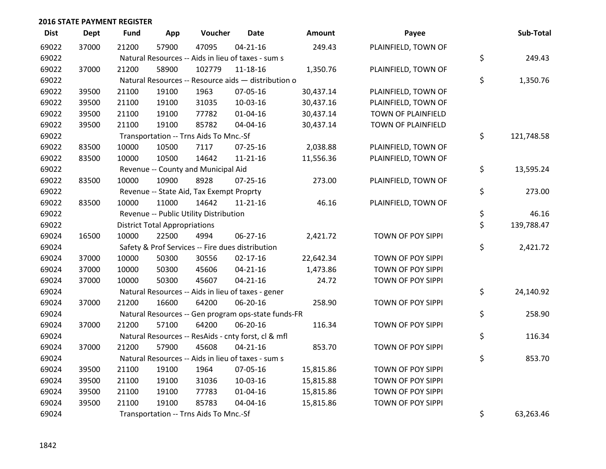| <b>Dist</b> | <b>Dept</b> | <b>Fund</b> | App                                  | Voucher                                             | <b>Date</b>    | Amount    | Payee               | Sub-Total        |
|-------------|-------------|-------------|--------------------------------------|-----------------------------------------------------|----------------|-----------|---------------------|------------------|
| 69022       | 37000       | 21200       | 57900                                | 47095                                               | $04 - 21 - 16$ | 249.43    | PLAINFIELD, TOWN OF |                  |
| 69022       |             |             |                                      | Natural Resources -- Aids in lieu of taxes - sum s  |                |           |                     | \$<br>249.43     |
| 69022       | 37000       | 21200       | 58900                                | 102779                                              | 11-18-16       | 1,350.76  | PLAINFIELD, TOWN OF |                  |
| 69022       |             |             |                                      | Natural Resources -- Resource aids - distribution o |                |           |                     | \$<br>1,350.76   |
| 69022       | 39500       | 21100       | 19100                                | 1963                                                | 07-05-16       | 30,437.14 | PLAINFIELD, TOWN OF |                  |
| 69022       | 39500       | 21100       | 19100                                | 31035                                               | 10-03-16       | 30,437.16 | PLAINFIELD, TOWN OF |                  |
| 69022       | 39500       | 21100       | 19100                                | 77782                                               | $01 - 04 - 16$ | 30,437.14 | TOWN OF PLAINFIELD  |                  |
| 69022       | 39500       | 21100       | 19100                                | 85782                                               | 04-04-16       | 30,437.14 | TOWN OF PLAINFIELD  |                  |
| 69022       |             |             |                                      | Transportation -- Trns Aids To Mnc.-Sf              |                |           |                     | \$<br>121,748.58 |
| 69022       | 83500       | 10000       | 10500                                | 7117                                                | 07-25-16       | 2,038.88  | PLAINFIELD, TOWN OF |                  |
| 69022       | 83500       | 10000       | 10500                                | 14642                                               | $11 - 21 - 16$ | 11,556.36 | PLAINFIELD, TOWN OF |                  |
| 69022       |             |             |                                      | Revenue -- County and Municipal Aid                 |                |           |                     | \$<br>13,595.24  |
| 69022       | 83500       | 10000       | 10900                                | 8928                                                | 07-25-16       | 273.00    | PLAINFIELD, TOWN OF |                  |
| 69022       |             |             |                                      | Revenue -- State Aid, Tax Exempt Proprty            |                |           |                     | \$<br>273.00     |
| 69022       | 83500       | 10000       | 11000                                | 14642                                               | $11 - 21 - 16$ | 46.16     | PLAINFIELD, TOWN OF |                  |
| 69022       |             |             |                                      | Revenue -- Public Utility Distribution              |                |           |                     | \$<br>46.16      |
| 69022       |             |             | <b>District Total Appropriations</b> |                                                     |                |           |                     | \$<br>139,788.47 |
| 69024       | 16500       | 10000       | 22500                                | 4994                                                | 06-27-16       | 2,421.72  | TOWN OF POY SIPPI   |                  |
| 69024       |             |             |                                      | Safety & Prof Services -- Fire dues distribution    |                |           |                     | \$<br>2,421.72   |
| 69024       | 37000       | 10000       | 50300                                | 30556                                               | $02 - 17 - 16$ | 22,642.34 | TOWN OF POY SIPPI   |                  |
| 69024       | 37000       | 10000       | 50300                                | 45606                                               | $04 - 21 - 16$ | 1,473.86  | TOWN OF POY SIPPI   |                  |
| 69024       | 37000       | 10000       | 50300                                | 45607                                               | $04 - 21 - 16$ | 24.72     | TOWN OF POY SIPPI   |                  |
| 69024       |             |             |                                      | Natural Resources -- Aids in lieu of taxes - gener  |                |           |                     | \$<br>24,140.92  |
| 69024       | 37000       | 21200       | 16600                                | 64200                                               | 06-20-16       | 258.90    | TOWN OF POY SIPPI   |                  |
| 69024       |             |             |                                      | Natural Resources -- Gen program ops-state funds-FR |                |           |                     | \$<br>258.90     |
| 69024       | 37000       | 21200       | 57100                                | 64200                                               | 06-20-16       | 116.34    | TOWN OF POY SIPPI   |                  |
| 69024       |             |             |                                      | Natural Resources -- ResAids - cnty forst, cl & mfl |                |           |                     | \$<br>116.34     |
| 69024       | 37000       | 21200       | 57900                                | 45608                                               | $04 - 21 - 16$ | 853.70    | TOWN OF POY SIPPI   |                  |
| 69024       |             |             |                                      | Natural Resources -- Aids in lieu of taxes - sum s  |                |           |                     | \$<br>853.70     |
| 69024       | 39500       | 21100       | 19100                                | 1964                                                | 07-05-16       | 15,815.86 | TOWN OF POY SIPPI   |                  |
| 69024       | 39500       | 21100       | 19100                                | 31036                                               | 10-03-16       | 15,815.88 | TOWN OF POY SIPPI   |                  |
| 69024       | 39500       | 21100       | 19100                                | 77783                                               | $01 - 04 - 16$ | 15,815.86 | TOWN OF POY SIPPI   |                  |
| 69024       | 39500       | 21100       | 19100                                | 85783                                               | 04-04-16       | 15,815.86 | TOWN OF POY SIPPI   |                  |
| 69024       |             |             |                                      | Transportation -- Trns Aids To Mnc.-Sf              |                |           |                     | \$<br>63,263.46  |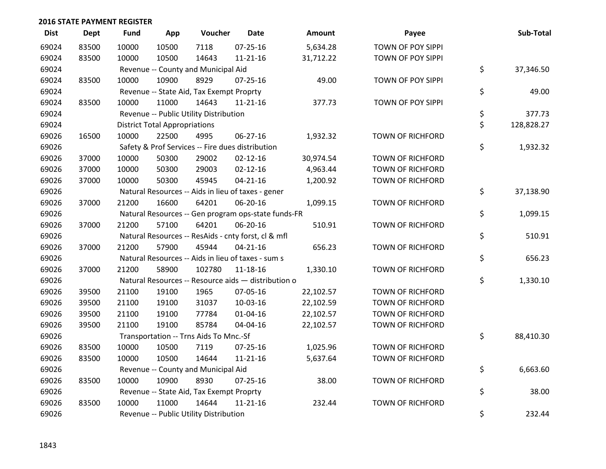| <b>Dist</b> | <b>Dept</b> | <b>Fund</b> | App                                  | Voucher                                  | Date                                                | Amount    | Payee                   | Sub-Total        |
|-------------|-------------|-------------|--------------------------------------|------------------------------------------|-----------------------------------------------------|-----------|-------------------------|------------------|
| 69024       | 83500       | 10000       | 10500                                | 7118                                     | $07 - 25 - 16$                                      | 5,634.28  | TOWN OF POY SIPPI       |                  |
| 69024       | 83500       | 10000       | 10500                                | 14643                                    | $11 - 21 - 16$                                      | 31,712.22 | TOWN OF POY SIPPI       |                  |
| 69024       |             |             |                                      | Revenue -- County and Municipal Aid      |                                                     |           |                         | \$<br>37,346.50  |
| 69024       | 83500       | 10000       | 10900                                | 8929                                     | 07-25-16                                            | 49.00     | TOWN OF POY SIPPI       |                  |
| 69024       |             |             |                                      | Revenue -- State Aid, Tax Exempt Proprty |                                                     |           |                         | \$<br>49.00      |
| 69024       | 83500       | 10000       | 11000                                | 14643                                    | $11 - 21 - 16$                                      | 377.73    | TOWN OF POY SIPPI       |                  |
| 69024       |             |             |                                      | Revenue -- Public Utility Distribution   |                                                     |           |                         | \$<br>377.73     |
| 69024       |             |             | <b>District Total Appropriations</b> |                                          |                                                     |           |                         | \$<br>128,828.27 |
| 69026       | 16500       | 10000       | 22500                                | 4995                                     | 06-27-16                                            | 1,932.32  | <b>TOWN OF RICHFORD</b> |                  |
| 69026       |             |             |                                      |                                          | Safety & Prof Services -- Fire dues distribution    |           |                         | \$<br>1,932.32   |
| 69026       | 37000       | 10000       | 50300                                | 29002                                    | $02 - 12 - 16$                                      | 30,974.54 | <b>TOWN OF RICHFORD</b> |                  |
| 69026       | 37000       | 10000       | 50300                                | 29003                                    | $02 - 12 - 16$                                      | 4,963.44  | <b>TOWN OF RICHFORD</b> |                  |
| 69026       | 37000       | 10000       | 50300                                | 45945                                    | $04 - 21 - 16$                                      | 1,200.92  | <b>TOWN OF RICHFORD</b> |                  |
| 69026       |             |             |                                      |                                          | Natural Resources -- Aids in lieu of taxes - gener  |           |                         | \$<br>37,138.90  |
| 69026       | 37000       | 21200       | 16600                                | 64201                                    | 06-20-16                                            | 1,099.15  | <b>TOWN OF RICHFORD</b> |                  |
| 69026       |             |             |                                      |                                          | Natural Resources -- Gen program ops-state funds-FR |           |                         | \$<br>1,099.15   |
| 69026       | 37000       | 21200       | 57100                                | 64201                                    | 06-20-16                                            | 510.91    | <b>TOWN OF RICHFORD</b> |                  |
| 69026       |             |             |                                      |                                          | Natural Resources -- ResAids - cnty forst, cl & mfl |           |                         | \$<br>510.91     |
| 69026       | 37000       | 21200       | 57900                                | 45944                                    | $04 - 21 - 16$                                      | 656.23    | <b>TOWN OF RICHFORD</b> |                  |
| 69026       |             |             |                                      |                                          | Natural Resources -- Aids in lieu of taxes - sum s  |           |                         | \$<br>656.23     |
| 69026       | 37000       | 21200       | 58900                                | 102780                                   | 11-18-16                                            | 1,330.10  | <b>TOWN OF RICHFORD</b> |                  |
| 69026       |             |             |                                      |                                          | Natural Resources -- Resource aids - distribution o |           |                         | \$<br>1,330.10   |
| 69026       | 39500       | 21100       | 19100                                | 1965                                     | 07-05-16                                            | 22,102.57 | <b>TOWN OF RICHFORD</b> |                  |
| 69026       | 39500       | 21100       | 19100                                | 31037                                    | 10-03-16                                            | 22,102.59 | <b>TOWN OF RICHFORD</b> |                  |
| 69026       | 39500       | 21100       | 19100                                | 77784                                    | $01 - 04 - 16$                                      | 22,102.57 | <b>TOWN OF RICHFORD</b> |                  |
| 69026       | 39500       | 21100       | 19100                                | 85784                                    | 04-04-16                                            | 22,102.57 | <b>TOWN OF RICHFORD</b> |                  |
| 69026       |             |             |                                      | Transportation -- Trns Aids To Mnc.-Sf   |                                                     |           |                         | \$<br>88,410.30  |
| 69026       | 83500       | 10000       | 10500                                | 7119                                     | 07-25-16                                            | 1,025.96  | <b>TOWN OF RICHFORD</b> |                  |
| 69026       | 83500       | 10000       | 10500                                | 14644                                    | $11 - 21 - 16$                                      | 5,637.64  | <b>TOWN OF RICHFORD</b> |                  |
| 69026       |             |             |                                      | Revenue -- County and Municipal Aid      |                                                     |           |                         | \$<br>6,663.60   |
| 69026       | 83500       | 10000       | 10900                                | 8930                                     | $07 - 25 - 16$                                      | 38.00     | <b>TOWN OF RICHFORD</b> |                  |
| 69026       |             |             |                                      | Revenue -- State Aid, Tax Exempt Proprty |                                                     |           |                         | \$<br>38.00      |
| 69026       | 83500       | 10000       | 11000                                | 14644                                    | $11 - 21 - 16$                                      | 232.44    | <b>TOWN OF RICHFORD</b> |                  |
| 69026       |             |             |                                      | Revenue -- Public Utility Distribution   |                                                     |           |                         | \$<br>232.44     |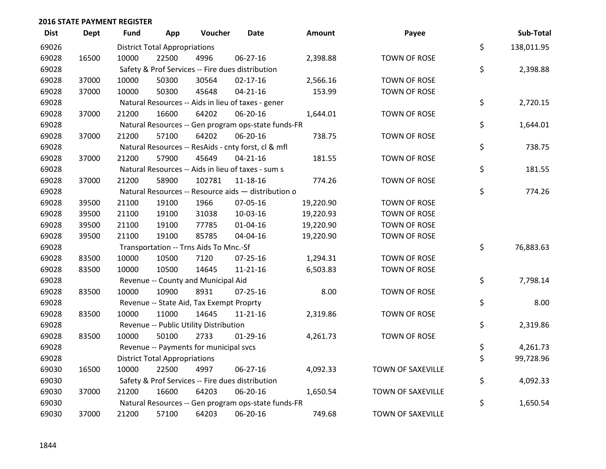| <b>Dist</b> | <b>Dept</b> | Fund  | App                                  | Voucher                                             | <b>Date</b>    | Amount    | Payee               | Sub-Total        |
|-------------|-------------|-------|--------------------------------------|-----------------------------------------------------|----------------|-----------|---------------------|------------------|
| 69026       |             |       | <b>District Total Appropriations</b> |                                                     |                |           |                     | \$<br>138,011.95 |
| 69028       | 16500       | 10000 | 22500                                | 4996                                                | 06-27-16       | 2,398.88  | TOWN OF ROSE        |                  |
| 69028       |             |       |                                      | Safety & Prof Services -- Fire dues distribution    |                |           |                     | \$<br>2,398.88   |
| 69028       | 37000       | 10000 | 50300                                | 30564                                               | $02 - 17 - 16$ | 2,566.16  | <b>TOWN OF ROSE</b> |                  |
| 69028       | 37000       | 10000 | 50300                                | 45648                                               | $04 - 21 - 16$ | 153.99    | TOWN OF ROSE        |                  |
| 69028       |             |       |                                      | Natural Resources -- Aids in lieu of taxes - gener  |                |           |                     | \$<br>2,720.15   |
| 69028       | 37000       | 21200 | 16600                                | 64202                                               | 06-20-16       | 1,644.01  | <b>TOWN OF ROSE</b> |                  |
| 69028       |             |       |                                      | Natural Resources -- Gen program ops-state funds-FR |                |           |                     | \$<br>1,644.01   |
| 69028       | 37000       | 21200 | 57100                                | 64202                                               | 06-20-16       | 738.75    | TOWN OF ROSE        |                  |
| 69028       |             |       |                                      | Natural Resources -- ResAids - cnty forst, cl & mfl |                |           |                     | \$<br>738.75     |
| 69028       | 37000       | 21200 | 57900                                | 45649                                               | $04 - 21 - 16$ | 181.55    | <b>TOWN OF ROSE</b> |                  |
| 69028       |             |       |                                      | Natural Resources -- Aids in lieu of taxes - sum s  |                |           |                     | \$<br>181.55     |
| 69028       | 37000       | 21200 | 58900                                | 102781                                              | 11-18-16       | 774.26    | TOWN OF ROSE        |                  |
| 69028       |             |       |                                      | Natural Resources -- Resource aids - distribution o |                |           |                     | \$<br>774.26     |
| 69028       | 39500       | 21100 | 19100                                | 1966                                                | 07-05-16       | 19,220.90 | <b>TOWN OF ROSE</b> |                  |
| 69028       | 39500       | 21100 | 19100                                | 31038                                               | 10-03-16       | 19,220.93 | TOWN OF ROSE        |                  |
| 69028       | 39500       | 21100 | 19100                                | 77785                                               | 01-04-16       | 19,220.90 | TOWN OF ROSE        |                  |
| 69028       | 39500       | 21100 | 19100                                | 85785                                               | 04-04-16       | 19,220.90 | <b>TOWN OF ROSE</b> |                  |
| 69028       |             |       |                                      | Transportation -- Trns Aids To Mnc.-Sf              |                |           |                     | \$<br>76,883.63  |
| 69028       | 83500       | 10000 | 10500                                | 7120                                                | 07-25-16       | 1,294.31  | TOWN OF ROSE        |                  |
| 69028       | 83500       | 10000 | 10500                                | 14645                                               | $11 - 21 - 16$ | 6,503.83  | <b>TOWN OF ROSE</b> |                  |
| 69028       |             |       |                                      | Revenue -- County and Municipal Aid                 |                |           |                     | \$<br>7,798.14   |
| 69028       | 83500       | 10000 | 10900                                | 8931                                                | 07-25-16       | 8.00      | <b>TOWN OF ROSE</b> |                  |
| 69028       |             |       |                                      | Revenue -- State Aid, Tax Exempt Proprty            |                |           |                     | \$<br>8.00       |
| 69028       | 83500       | 10000 | 11000                                | 14645                                               | $11 - 21 - 16$ | 2,319.86  | TOWN OF ROSE        |                  |
| 69028       |             |       |                                      | Revenue -- Public Utility Distribution              |                |           |                     | \$<br>2,319.86   |
| 69028       | 83500       | 10000 | 50100                                | 2733                                                | $01-29-16$     | 4,261.73  | <b>TOWN OF ROSE</b> |                  |
| 69028       |             |       |                                      | Revenue -- Payments for municipal svcs              |                |           |                     | \$<br>4,261.73   |
| 69028       |             |       | <b>District Total Appropriations</b> |                                                     |                |           |                     | \$<br>99,728.96  |
| 69030       | 16500       | 10000 | 22500                                | 4997                                                | $06 - 27 - 16$ | 4,092.33  | TOWN OF SAXEVILLE   |                  |
| 69030       |             |       |                                      | Safety & Prof Services -- Fire dues distribution    |                |           |                     | \$<br>4,092.33   |
| 69030       | 37000       | 21200 | 16600                                | 64203                                               | 06-20-16       | 1,650.54  | TOWN OF SAXEVILLE   |                  |
| 69030       |             |       |                                      | Natural Resources -- Gen program ops-state funds-FR |                |           |                     | \$<br>1,650.54   |
| 69030       | 37000       | 21200 | 57100                                | 64203                                               | 06-20-16       | 749.68    | TOWN OF SAXEVILLE   |                  |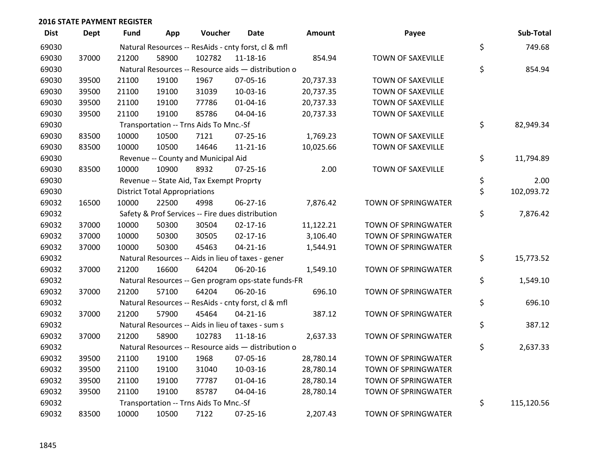| <b>Dist</b> | <b>Dept</b> | Fund  | App                                  | Voucher                                  | Date                                                | Amount    | Payee                    | Sub-Total        |
|-------------|-------------|-------|--------------------------------------|------------------------------------------|-----------------------------------------------------|-----------|--------------------------|------------------|
| 69030       |             |       |                                      |                                          | Natural Resources -- ResAids - cnty forst, cl & mfl |           |                          | \$<br>749.68     |
| 69030       | 37000       | 21200 | 58900                                | 102782                                   | 11-18-16                                            | 854.94    | TOWN OF SAXEVILLE        |                  |
| 69030       |             |       |                                      |                                          | Natural Resources -- Resource aids - distribution o |           |                          | \$<br>854.94     |
| 69030       | 39500       | 21100 | 19100                                | 1967                                     | 07-05-16                                            | 20,737.33 | <b>TOWN OF SAXEVILLE</b> |                  |
| 69030       | 39500       | 21100 | 19100                                | 31039                                    | 10-03-16                                            | 20,737.35 | <b>TOWN OF SAXEVILLE</b> |                  |
| 69030       | 39500       | 21100 | 19100                                | 77786                                    | $01 - 04 - 16$                                      | 20,737.33 | TOWN OF SAXEVILLE        |                  |
| 69030       | 39500       | 21100 | 19100                                | 85786                                    | 04-04-16                                            | 20,737.33 | TOWN OF SAXEVILLE        |                  |
| 69030       |             |       |                                      | Transportation -- Trns Aids To Mnc.-Sf   |                                                     |           |                          | \$<br>82,949.34  |
| 69030       | 83500       | 10000 | 10500                                | 7121                                     | $07 - 25 - 16$                                      | 1,769.23  | <b>TOWN OF SAXEVILLE</b> |                  |
| 69030       | 83500       | 10000 | 10500                                | 14646                                    | $11 - 21 - 16$                                      | 10,025.66 | TOWN OF SAXEVILLE        |                  |
| 69030       |             |       |                                      | Revenue -- County and Municipal Aid      |                                                     |           |                          | \$<br>11,794.89  |
| 69030       | 83500       | 10000 | 10900                                | 8932                                     | $07 - 25 - 16$                                      | 2.00      | TOWN OF SAXEVILLE        |                  |
| 69030       |             |       |                                      | Revenue -- State Aid, Tax Exempt Proprty |                                                     |           |                          | \$<br>2.00       |
| 69030       |             |       | <b>District Total Appropriations</b> |                                          |                                                     |           |                          | \$<br>102,093.72 |
| 69032       | 16500       | 10000 | 22500                                | 4998                                     | 06-27-16                                            | 7,876.42  | TOWN OF SPRINGWATER      |                  |
| 69032       |             |       |                                      |                                          | Safety & Prof Services -- Fire dues distribution    |           |                          | \$<br>7,876.42   |
| 69032       | 37000       | 10000 | 50300                                | 30504                                    | $02 - 17 - 16$                                      | 11,122.21 | TOWN OF SPRINGWATER      |                  |
| 69032       | 37000       | 10000 | 50300                                | 30505                                    | $02 - 17 - 16$                                      | 3,106.40  | TOWN OF SPRINGWATER      |                  |
| 69032       | 37000       | 10000 | 50300                                | 45463                                    | $04 - 21 - 16$                                      | 1,544.91  | TOWN OF SPRINGWATER      |                  |
| 69032       |             |       |                                      |                                          | Natural Resources -- Aids in lieu of taxes - gener  |           |                          | \$<br>15,773.52  |
| 69032       | 37000       | 21200 | 16600                                | 64204                                    | 06-20-16                                            | 1,549.10  | TOWN OF SPRINGWATER      |                  |
| 69032       |             |       |                                      |                                          | Natural Resources -- Gen program ops-state funds-FR |           |                          | \$<br>1,549.10   |
| 69032       | 37000       | 21200 | 57100                                | 64204                                    | 06-20-16                                            | 696.10    | TOWN OF SPRINGWATER      |                  |
| 69032       |             |       |                                      |                                          | Natural Resources -- ResAids - cnty forst, cl & mfl |           |                          | \$<br>696.10     |
| 69032       | 37000       | 21200 | 57900                                | 45464                                    | $04 - 21 - 16$                                      | 387.12    | TOWN OF SPRINGWATER      |                  |
| 69032       |             |       |                                      |                                          | Natural Resources -- Aids in lieu of taxes - sum s  |           |                          | \$<br>387.12     |
| 69032       | 37000       | 21200 | 58900                                | 102783                                   | $11 - 18 - 16$                                      | 2,637.33  | TOWN OF SPRINGWATER      |                  |
| 69032       |             |       |                                      |                                          | Natural Resources -- Resource aids - distribution o |           |                          | \$<br>2,637.33   |
| 69032       | 39500       | 21100 | 19100                                | 1968                                     | 07-05-16                                            | 28,780.14 | TOWN OF SPRINGWATER      |                  |
| 69032       | 39500       | 21100 | 19100                                | 31040                                    | 10-03-16                                            | 28,780.14 | TOWN OF SPRINGWATER      |                  |
| 69032       | 39500       | 21100 | 19100                                | 77787                                    | $01 - 04 - 16$                                      | 28,780.14 | TOWN OF SPRINGWATER      |                  |
| 69032       | 39500       | 21100 | 19100                                | 85787                                    | 04-04-16                                            | 28,780.14 | TOWN OF SPRINGWATER      |                  |
| 69032       |             |       |                                      | Transportation -- Trns Aids To Mnc.-Sf   |                                                     |           |                          | \$<br>115,120.56 |
| 69032       | 83500       | 10000 | 10500                                | 7122                                     | 07-25-16                                            | 2,207.43  | TOWN OF SPRINGWATER      |                  |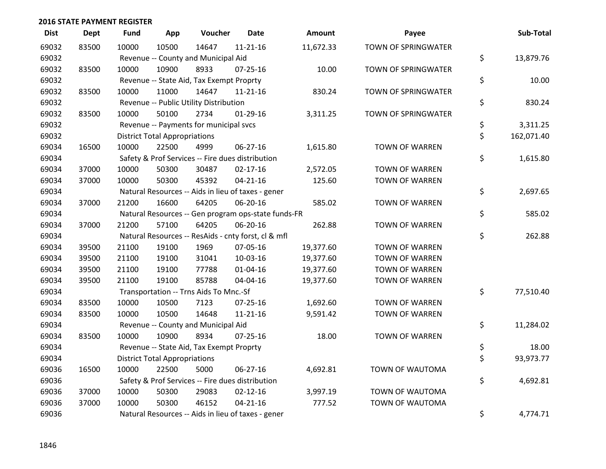| <b>Dist</b> | <b>Dept</b> | <b>Fund</b> | App                                  | Voucher                                             | <b>Date</b>    | Amount    | Payee                      | Sub-Total        |
|-------------|-------------|-------------|--------------------------------------|-----------------------------------------------------|----------------|-----------|----------------------------|------------------|
| 69032       | 83500       | 10000       | 10500                                | 14647                                               | $11 - 21 - 16$ | 11,672.33 | <b>TOWN OF SPRINGWATER</b> |                  |
| 69032       |             |             |                                      | Revenue -- County and Municipal Aid                 |                |           |                            | \$<br>13,879.76  |
| 69032       | 83500       | 10000       | 10900                                | 8933                                                | $07 - 25 - 16$ | 10.00     | <b>TOWN OF SPRINGWATER</b> |                  |
| 69032       |             |             |                                      | Revenue -- State Aid, Tax Exempt Proprty            |                |           |                            | \$<br>10.00      |
| 69032       | 83500       | 10000       | 11000                                | 14647                                               | $11 - 21 - 16$ | 830.24    | TOWN OF SPRINGWATER        |                  |
| 69032       |             |             |                                      | Revenue -- Public Utility Distribution              |                |           |                            | \$<br>830.24     |
| 69032       | 83500       | 10000       | 50100                                | 2734                                                | $01-29-16$     | 3,311.25  | TOWN OF SPRINGWATER        |                  |
| 69032       |             |             |                                      | Revenue -- Payments for municipal svcs              |                |           |                            | \$<br>3,311.25   |
| 69032       |             |             | <b>District Total Appropriations</b> |                                                     |                |           |                            | \$<br>162,071.40 |
| 69034       | 16500       | 10000       | 22500                                | 4999                                                | 06-27-16       | 1,615.80  | <b>TOWN OF WARREN</b>      |                  |
| 69034       |             |             |                                      | Safety & Prof Services -- Fire dues distribution    |                |           |                            | \$<br>1,615.80   |
| 69034       | 37000       | 10000       | 50300                                | 30487                                               | $02 - 17 - 16$ | 2,572.05  | <b>TOWN OF WARREN</b>      |                  |
| 69034       | 37000       | 10000       | 50300                                | 45392                                               | $04 - 21 - 16$ | 125.60    | <b>TOWN OF WARREN</b>      |                  |
| 69034       |             |             |                                      | Natural Resources -- Aids in lieu of taxes - gener  |                |           |                            | \$<br>2,697.65   |
| 69034       | 37000       | 21200       | 16600                                | 64205                                               | 06-20-16       | 585.02    | <b>TOWN OF WARREN</b>      |                  |
| 69034       |             |             |                                      | Natural Resources -- Gen program ops-state funds-FR |                |           |                            | \$<br>585.02     |
| 69034       | 37000       | 21200       | 57100                                | 64205                                               | 06-20-16       | 262.88    | <b>TOWN OF WARREN</b>      |                  |
| 69034       |             |             |                                      | Natural Resources -- ResAids - cnty forst, cl & mfl |                |           |                            | \$<br>262.88     |
| 69034       | 39500       | 21100       | 19100                                | 1969                                                | 07-05-16       | 19,377.60 | <b>TOWN OF WARREN</b>      |                  |
| 69034       | 39500       | 21100       | 19100                                | 31041                                               | 10-03-16       | 19,377.60 | <b>TOWN OF WARREN</b>      |                  |
| 69034       | 39500       | 21100       | 19100                                | 77788                                               | $01 - 04 - 16$ | 19,377.60 | <b>TOWN OF WARREN</b>      |                  |
| 69034       | 39500       | 21100       | 19100                                | 85788                                               | 04-04-16       | 19,377.60 | <b>TOWN OF WARREN</b>      |                  |
| 69034       |             |             |                                      | Transportation -- Trns Aids To Mnc.-Sf              |                |           |                            | \$<br>77,510.40  |
| 69034       | 83500       | 10000       | 10500                                | 7123                                                | 07-25-16       | 1,692.60  | <b>TOWN OF WARREN</b>      |                  |
| 69034       | 83500       | 10000       | 10500                                | 14648                                               | $11 - 21 - 16$ | 9,591.42  | <b>TOWN OF WARREN</b>      |                  |
| 69034       |             |             |                                      | Revenue -- County and Municipal Aid                 |                |           |                            | \$<br>11,284.02  |
| 69034       | 83500       | 10000       | 10900                                | 8934                                                | $07 - 25 - 16$ | 18.00     | <b>TOWN OF WARREN</b>      |                  |
| 69034       |             |             |                                      | Revenue -- State Aid, Tax Exempt Proprty            |                |           |                            | \$<br>18.00      |
| 69034       |             |             | <b>District Total Appropriations</b> |                                                     |                |           |                            | \$<br>93,973.77  |
| 69036       | 16500       | 10000       | 22500                                | 5000                                                | 06-27-16       | 4,692.81  | TOWN OF WAUTOMA            |                  |
| 69036       |             |             |                                      | Safety & Prof Services -- Fire dues distribution    |                |           |                            | \$<br>4,692.81   |
| 69036       | 37000       | 10000       | 50300                                | 29083                                               | $02 - 12 - 16$ | 3,997.19  | TOWN OF WAUTOMA            |                  |
| 69036       | 37000       | 10000       | 50300                                | 46152                                               | $04 - 21 - 16$ | 777.52    | TOWN OF WAUTOMA            |                  |
| 69036       |             |             |                                      | Natural Resources -- Aids in lieu of taxes - gener  |                |           |                            | \$<br>4,774.71   |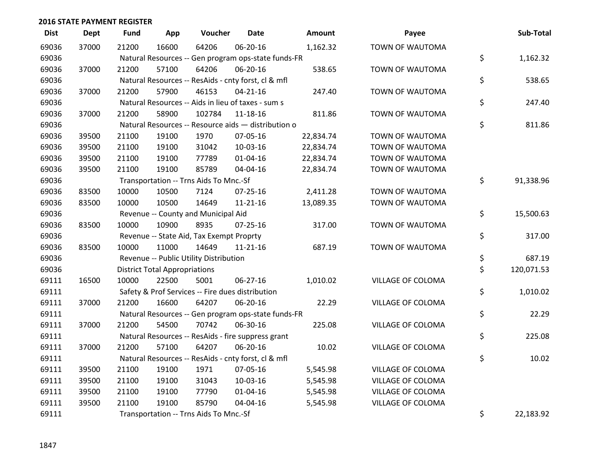| <b>Dist</b> | <b>Dept</b> | <b>Fund</b> | App                                  | Voucher                                             | <b>Date</b>    | Amount    | Payee             | Sub-Total        |
|-------------|-------------|-------------|--------------------------------------|-----------------------------------------------------|----------------|-----------|-------------------|------------------|
| 69036       | 37000       | 21200       | 16600                                | 64206                                               | 06-20-16       | 1,162.32  | TOWN OF WAUTOMA   |                  |
| 69036       |             |             |                                      | Natural Resources -- Gen program ops-state funds-FR |                |           |                   | \$<br>1,162.32   |
| 69036       | 37000       | 21200       | 57100                                | 64206                                               | 06-20-16       | 538.65    | TOWN OF WAUTOMA   |                  |
| 69036       |             |             |                                      | Natural Resources -- ResAids - cnty forst, cl & mfl |                |           |                   | \$<br>538.65     |
| 69036       | 37000       | 21200       | 57900                                | 46153                                               | $04 - 21 - 16$ | 247.40    | TOWN OF WAUTOMA   |                  |
| 69036       |             |             |                                      | Natural Resources -- Aids in lieu of taxes - sum s  |                |           |                   | \$<br>247.40     |
| 69036       | 37000       | 21200       | 58900                                | 102784                                              | 11-18-16       | 811.86    | TOWN OF WAUTOMA   |                  |
| 69036       |             |             |                                      | Natural Resources -- Resource aids - distribution o |                |           |                   | \$<br>811.86     |
| 69036       | 39500       | 21100       | 19100                                | 1970                                                | 07-05-16       | 22,834.74 | TOWN OF WAUTOMA   |                  |
| 69036       | 39500       | 21100       | 19100                                | 31042                                               | 10-03-16       | 22,834.74 | TOWN OF WAUTOMA   |                  |
| 69036       | 39500       | 21100       | 19100                                | 77789                                               | 01-04-16       | 22,834.74 | TOWN OF WAUTOMA   |                  |
| 69036       | 39500       | 21100       | 19100                                | 85789                                               | 04-04-16       | 22,834.74 | TOWN OF WAUTOMA   |                  |
| 69036       |             |             |                                      | Transportation -- Trns Aids To Mnc.-Sf              |                |           |                   | \$<br>91,338.96  |
| 69036       | 83500       | 10000       | 10500                                | 7124                                                | 07-25-16       | 2,411.28  | TOWN OF WAUTOMA   |                  |
| 69036       | 83500       | 10000       | 10500                                | 14649                                               | $11 - 21 - 16$ | 13,089.35 | TOWN OF WAUTOMA   |                  |
| 69036       |             |             |                                      | Revenue -- County and Municipal Aid                 |                |           |                   | \$<br>15,500.63  |
| 69036       | 83500       | 10000       | 10900                                | 8935                                                | $07 - 25 - 16$ | 317.00    | TOWN OF WAUTOMA   |                  |
| 69036       |             |             |                                      | Revenue -- State Aid, Tax Exempt Proprty            |                |           |                   | \$<br>317.00     |
| 69036       | 83500       | 10000       | 11000                                | 14649                                               | $11 - 21 - 16$ | 687.19    | TOWN OF WAUTOMA   |                  |
| 69036       |             |             |                                      | Revenue -- Public Utility Distribution              |                |           |                   | \$<br>687.19     |
| 69036       |             |             | <b>District Total Appropriations</b> |                                                     |                |           |                   | \$<br>120,071.53 |
| 69111       | 16500       | 10000       | 22500                                | 5001                                                | $06 - 27 - 16$ | 1,010.02  | VILLAGE OF COLOMA |                  |
| 69111       |             |             |                                      | Safety & Prof Services -- Fire dues distribution    |                |           |                   | \$<br>1,010.02   |
| 69111       | 37000       | 21200       | 16600                                | 64207                                               | 06-20-16       | 22.29     | VILLAGE OF COLOMA |                  |
| 69111       |             |             |                                      | Natural Resources -- Gen program ops-state funds-FR |                |           |                   | \$<br>22.29      |
| 69111       | 37000       | 21200       | 54500                                | 70742                                               | 06-30-16       | 225.08    | VILLAGE OF COLOMA |                  |
| 69111       |             |             |                                      | Natural Resources -- ResAids - fire suppress grant  |                |           |                   | \$<br>225.08     |
| 69111       | 37000       | 21200       | 57100                                | 64207                                               | 06-20-16       | 10.02     | VILLAGE OF COLOMA |                  |
| 69111       |             |             |                                      | Natural Resources -- ResAids - cnty forst, cl & mfl |                |           |                   | \$<br>10.02      |
| 69111       | 39500       | 21100       | 19100                                | 1971                                                | 07-05-16       | 5,545.98  | VILLAGE OF COLOMA |                  |
| 69111       | 39500       | 21100       | 19100                                | 31043                                               | 10-03-16       | 5,545.98  | VILLAGE OF COLOMA |                  |
| 69111       | 39500       | 21100       | 19100                                | 77790                                               | $01 - 04 - 16$ | 5,545.98  | VILLAGE OF COLOMA |                  |
| 69111       | 39500       | 21100       | 19100                                | 85790                                               | 04-04-16       | 5,545.98  | VILLAGE OF COLOMA |                  |
| 69111       |             |             |                                      | Transportation -- Trns Aids To Mnc.-Sf              |                |           |                   | \$<br>22,183.92  |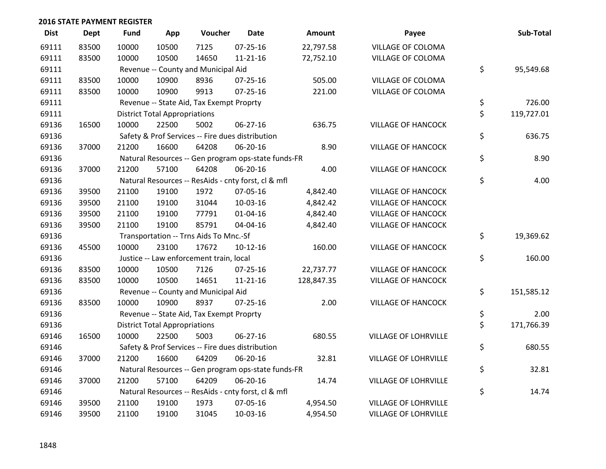| <b>Dist</b> | <b>Dept</b> | <b>Fund</b> | App                                  | Voucher                                  | <b>Date</b>                                         | Amount     | Payee                       | Sub-Total        |
|-------------|-------------|-------------|--------------------------------------|------------------------------------------|-----------------------------------------------------|------------|-----------------------------|------------------|
| 69111       | 83500       | 10000       | 10500                                | 7125                                     | 07-25-16                                            | 22,797.58  | VILLAGE OF COLOMA           |                  |
| 69111       | 83500       | 10000       | 10500                                | 14650                                    | $11 - 21 - 16$                                      | 72,752.10  | <b>VILLAGE OF COLOMA</b>    |                  |
| 69111       |             |             |                                      | Revenue -- County and Municipal Aid      |                                                     |            |                             | \$<br>95,549.68  |
| 69111       | 83500       | 10000       | 10900                                | 8936                                     | $07 - 25 - 16$                                      | 505.00     | VILLAGE OF COLOMA           |                  |
| 69111       | 83500       | 10000       | 10900                                | 9913                                     | $07 - 25 - 16$                                      | 221.00     | <b>VILLAGE OF COLOMA</b>    |                  |
| 69111       |             |             |                                      | Revenue -- State Aid, Tax Exempt Proprty |                                                     |            |                             | \$<br>726.00     |
| 69111       |             |             | <b>District Total Appropriations</b> |                                          |                                                     |            |                             | \$<br>119,727.01 |
| 69136       | 16500       | 10000       | 22500                                | 5002                                     | $06 - 27 - 16$                                      | 636.75     | <b>VILLAGE OF HANCOCK</b>   |                  |
| 69136       |             |             |                                      |                                          | Safety & Prof Services -- Fire dues distribution    |            |                             | \$<br>636.75     |
| 69136       | 37000       | 21200       | 16600                                | 64208                                    | 06-20-16                                            | 8.90       | <b>VILLAGE OF HANCOCK</b>   |                  |
| 69136       |             |             |                                      |                                          | Natural Resources -- Gen program ops-state funds-FR |            |                             | \$<br>8.90       |
| 69136       | 37000       | 21200       | 57100                                | 64208                                    | 06-20-16                                            | 4.00       | <b>VILLAGE OF HANCOCK</b>   |                  |
| 69136       |             |             |                                      |                                          | Natural Resources -- ResAids - cnty forst, cl & mfl |            |                             | \$<br>4.00       |
| 69136       | 39500       | 21100       | 19100                                | 1972                                     | 07-05-16                                            | 4,842.40   | <b>VILLAGE OF HANCOCK</b>   |                  |
| 69136       | 39500       | 21100       | 19100                                | 31044                                    | 10-03-16                                            | 4,842.42   | <b>VILLAGE OF HANCOCK</b>   |                  |
| 69136       | 39500       | 21100       | 19100                                | 77791                                    | 01-04-16                                            | 4,842.40   | <b>VILLAGE OF HANCOCK</b>   |                  |
| 69136       | 39500       | 21100       | 19100                                | 85791                                    | 04-04-16                                            | 4,842.40   | <b>VILLAGE OF HANCOCK</b>   |                  |
| 69136       |             |             |                                      | Transportation -- Trns Aids To Mnc.-Sf   |                                                     |            |                             | \$<br>19,369.62  |
| 69136       | 45500       | 10000       | 23100                                | 17672                                    | $10-12-16$                                          | 160.00     | <b>VILLAGE OF HANCOCK</b>   |                  |
| 69136       |             |             |                                      | Justice -- Law enforcement train, local  |                                                     |            |                             | \$<br>160.00     |
| 69136       | 83500       | 10000       | 10500                                | 7126                                     | 07-25-16                                            | 22,737.77  | <b>VILLAGE OF HANCOCK</b>   |                  |
| 69136       | 83500       | 10000       | 10500                                | 14651                                    | $11 - 21 - 16$                                      | 128,847.35 | <b>VILLAGE OF HANCOCK</b>   |                  |
| 69136       |             |             |                                      | Revenue -- County and Municipal Aid      |                                                     |            |                             | \$<br>151,585.12 |
| 69136       | 83500       | 10000       | 10900                                | 8937                                     | $07 - 25 - 16$                                      | 2.00       | <b>VILLAGE OF HANCOCK</b>   |                  |
| 69136       |             |             |                                      | Revenue -- State Aid, Tax Exempt Proprty |                                                     |            |                             | \$<br>2.00       |
| 69136       |             |             | <b>District Total Appropriations</b> |                                          |                                                     |            |                             | \$<br>171,766.39 |
| 69146       | 16500       | 10000       | 22500                                | 5003                                     | 06-27-16                                            | 680.55     | <b>VILLAGE OF LOHRVILLE</b> |                  |
| 69146       |             |             |                                      |                                          | Safety & Prof Services -- Fire dues distribution    |            |                             | \$<br>680.55     |
| 69146       | 37000       | 21200       | 16600                                | 64209                                    | 06-20-16                                            | 32.81      | <b>VILLAGE OF LOHRVILLE</b> |                  |
| 69146       |             |             |                                      |                                          | Natural Resources -- Gen program ops-state funds-FR |            |                             | \$<br>32.81      |
| 69146       | 37000       | 21200       | 57100                                | 64209                                    | 06-20-16                                            | 14.74      | VILLAGE OF LOHRVILLE        |                  |
| 69146       |             |             |                                      |                                          | Natural Resources -- ResAids - cnty forst, cl & mfl |            |                             | \$<br>14.74      |
| 69146       | 39500       | 21100       | 19100                                | 1973                                     | 07-05-16                                            | 4,954.50   | VILLAGE OF LOHRVILLE        |                  |
| 69146       | 39500       | 21100       | 19100                                | 31045                                    | 10-03-16                                            | 4,954.50   | <b>VILLAGE OF LOHRVILLE</b> |                  |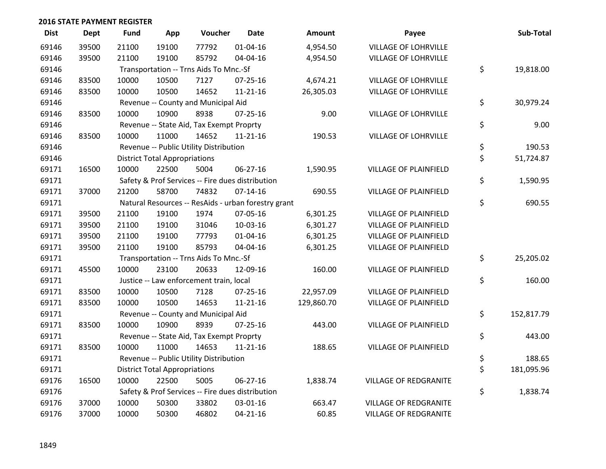| <b>Dist</b> | <b>Dept</b> | <b>Fund</b> | App                                  | Voucher                                  | <b>Date</b>                                         | <b>Amount</b> | Payee                        | Sub-Total        |
|-------------|-------------|-------------|--------------------------------------|------------------------------------------|-----------------------------------------------------|---------------|------------------------------|------------------|
| 69146       | 39500       | 21100       | 19100                                | 77792                                    | $01 - 04 - 16$                                      | 4,954.50      | <b>VILLAGE OF LOHRVILLE</b>  |                  |
| 69146       | 39500       | 21100       | 19100                                | 85792                                    | 04-04-16                                            | 4,954.50      | <b>VILLAGE OF LOHRVILLE</b>  |                  |
| 69146       |             |             |                                      | Transportation -- Trns Aids To Mnc.-Sf   |                                                     |               |                              | \$<br>19,818.00  |
| 69146       | 83500       | 10000       | 10500                                | 7127                                     | $07 - 25 - 16$                                      | 4,674.21      | <b>VILLAGE OF LOHRVILLE</b>  |                  |
| 69146       | 83500       | 10000       | 10500                                | 14652                                    | $11 - 21 - 16$                                      | 26,305.03     | <b>VILLAGE OF LOHRVILLE</b>  |                  |
| 69146       |             |             |                                      | Revenue -- County and Municipal Aid      |                                                     |               |                              | \$<br>30,979.24  |
| 69146       | 83500       | 10000       | 10900                                | 8938                                     | $07 - 25 - 16$                                      | 9.00          | <b>VILLAGE OF LOHRVILLE</b>  |                  |
| 69146       |             |             |                                      | Revenue -- State Aid, Tax Exempt Proprty |                                                     |               |                              | \$<br>9.00       |
| 69146       | 83500       | 10000       | 11000                                | 14652                                    | $11 - 21 - 16$                                      | 190.53        | <b>VILLAGE OF LOHRVILLE</b>  |                  |
| 69146       |             |             |                                      | Revenue -- Public Utility Distribution   |                                                     |               |                              | \$<br>190.53     |
| 69146       |             |             | <b>District Total Appropriations</b> |                                          |                                                     |               |                              | \$<br>51,724.87  |
| 69171       | 16500       | 10000       | 22500                                | 5004                                     | $06 - 27 - 16$                                      | 1,590.95      | <b>VILLAGE OF PLAINFIELD</b> |                  |
| 69171       |             |             |                                      |                                          | Safety & Prof Services -- Fire dues distribution    |               |                              | \$<br>1,590.95   |
| 69171       | 37000       | 21200       | 58700                                | 74832                                    | $07 - 14 - 16$                                      | 690.55        | VILLAGE OF PLAINFIELD        |                  |
| 69171       |             |             |                                      |                                          | Natural Resources -- ResAids - urban forestry grant |               |                              | \$<br>690.55     |
| 69171       | 39500       | 21100       | 19100                                | 1974                                     | 07-05-16                                            | 6,301.25      | VILLAGE OF PLAINFIELD        |                  |
| 69171       | 39500       | 21100       | 19100                                | 31046                                    | 10-03-16                                            | 6,301.27      | <b>VILLAGE OF PLAINFIELD</b> |                  |
| 69171       | 39500       | 21100       | 19100                                | 77793                                    | $01 - 04 - 16$                                      | 6,301.25      | <b>VILLAGE OF PLAINFIELD</b> |                  |
| 69171       | 39500       | 21100       | 19100                                | 85793                                    | 04-04-16                                            | 6,301.25      | VILLAGE OF PLAINFIELD        |                  |
| 69171       |             |             |                                      | Transportation -- Trns Aids To Mnc.-Sf   |                                                     |               |                              | \$<br>25,205.02  |
| 69171       | 45500       | 10000       | 23100                                | 20633                                    | 12-09-16                                            | 160.00        | VILLAGE OF PLAINFIELD        |                  |
| 69171       |             |             |                                      | Justice -- Law enforcement train, local  |                                                     |               |                              | \$<br>160.00     |
| 69171       | 83500       | 10000       | 10500                                | 7128                                     | $07 - 25 - 16$                                      | 22,957.09     | <b>VILLAGE OF PLAINFIELD</b> |                  |
| 69171       | 83500       | 10000       | 10500                                | 14653                                    | $11 - 21 - 16$                                      | 129,860.70    | <b>VILLAGE OF PLAINFIELD</b> |                  |
| 69171       |             |             |                                      | Revenue -- County and Municipal Aid      |                                                     |               |                              | \$<br>152,817.79 |
| 69171       | 83500       | 10000       | 10900                                | 8939                                     | $07 - 25 - 16$                                      | 443.00        | <b>VILLAGE OF PLAINFIELD</b> |                  |
| 69171       |             |             |                                      | Revenue -- State Aid, Tax Exempt Proprty |                                                     |               |                              | \$<br>443.00     |
| 69171       | 83500       | 10000       | 11000                                | 14653                                    | $11 - 21 - 16$                                      | 188.65        | VILLAGE OF PLAINFIELD        |                  |
| 69171       |             |             |                                      | Revenue -- Public Utility Distribution   |                                                     |               |                              | \$<br>188.65     |
| 69171       |             |             | <b>District Total Appropriations</b> |                                          |                                                     |               |                              | \$<br>181,095.96 |
| 69176       | 16500       | 10000       | 22500                                | 5005                                     | 06-27-16                                            | 1,838.74      | VILLAGE OF REDGRANITE        |                  |
| 69176       |             |             |                                      |                                          | Safety & Prof Services -- Fire dues distribution    |               |                              | \$<br>1,838.74   |
| 69176       | 37000       | 10000       | 50300                                | 33802                                    | 03-01-16                                            | 663.47        | <b>VILLAGE OF REDGRANITE</b> |                  |
| 69176       | 37000       | 10000       | 50300                                | 46802                                    | $04 - 21 - 16$                                      | 60.85         | <b>VILLAGE OF REDGRANITE</b> |                  |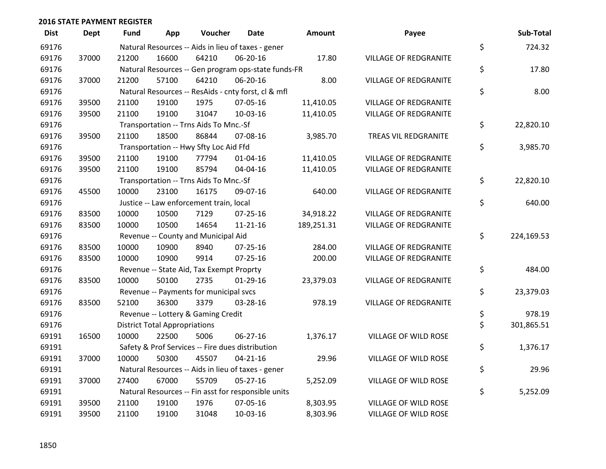| <b>Dist</b> | <b>Dept</b> | Fund  | App                                  | Voucher                                             | <b>Date</b>    | Amount     | Payee                        | Sub-Total        |
|-------------|-------------|-------|--------------------------------------|-----------------------------------------------------|----------------|------------|------------------------------|------------------|
| 69176       |             |       |                                      | Natural Resources -- Aids in lieu of taxes - gener  |                |            |                              | \$<br>724.32     |
| 69176       | 37000       | 21200 | 16600                                | 64210                                               | 06-20-16       | 17.80      | <b>VILLAGE OF REDGRANITE</b> |                  |
| 69176       |             |       |                                      | Natural Resources -- Gen program ops-state funds-FR |                |            |                              | \$<br>17.80      |
| 69176       | 37000       | 21200 | 57100                                | 64210                                               | 06-20-16       | 8.00       | <b>VILLAGE OF REDGRANITE</b> |                  |
| 69176       |             |       |                                      | Natural Resources -- ResAids - cnty forst, cl & mfl |                |            |                              | \$<br>8.00       |
| 69176       | 39500       | 21100 | 19100                                | 1975                                                | 07-05-16       | 11,410.05  | <b>VILLAGE OF REDGRANITE</b> |                  |
| 69176       | 39500       | 21100 | 19100                                | 31047                                               | 10-03-16       | 11,410.05  | <b>VILLAGE OF REDGRANITE</b> |                  |
| 69176       |             |       |                                      | Transportation -- Trns Aids To Mnc.-Sf              |                |            |                              | \$<br>22,820.10  |
| 69176       | 39500       | 21100 | 18500                                | 86844                                               | 07-08-16       | 3,985.70   | TREAS VIL REDGRANITE         |                  |
| 69176       |             |       |                                      | Transportation -- Hwy Sfty Loc Aid Ffd              |                |            |                              | \$<br>3,985.70   |
| 69176       | 39500       | 21100 | 19100                                | 77794                                               | $01 - 04 - 16$ | 11,410.05  | <b>VILLAGE OF REDGRANITE</b> |                  |
| 69176       | 39500       | 21100 | 19100                                | 85794                                               | 04-04-16       | 11,410.05  | <b>VILLAGE OF REDGRANITE</b> |                  |
| 69176       |             |       |                                      | Transportation -- Trns Aids To Mnc.-Sf              |                |            |                              | \$<br>22,820.10  |
| 69176       | 45500       | 10000 | 23100                                | 16175                                               | 09-07-16       | 640.00     | VILLAGE OF REDGRANITE        |                  |
| 69176       |             |       |                                      | Justice -- Law enforcement train, local             |                |            |                              | \$<br>640.00     |
| 69176       | 83500       | 10000 | 10500                                | 7129                                                | 07-25-16       | 34,918.22  | <b>VILLAGE OF REDGRANITE</b> |                  |
| 69176       | 83500       | 10000 | 10500                                | 14654                                               | $11 - 21 - 16$ | 189,251.31 | <b>VILLAGE OF REDGRANITE</b> |                  |
| 69176       |             |       |                                      | Revenue -- County and Municipal Aid                 |                |            |                              | \$<br>224,169.53 |
| 69176       | 83500       | 10000 | 10900                                | 8940                                                | $07 - 25 - 16$ | 284.00     | <b>VILLAGE OF REDGRANITE</b> |                  |
| 69176       | 83500       | 10000 | 10900                                | 9914                                                | 07-25-16       | 200.00     | VILLAGE OF REDGRANITE        |                  |
| 69176       |             |       |                                      | Revenue -- State Aid, Tax Exempt Proprty            |                |            |                              | \$<br>484.00     |
| 69176       | 83500       | 10000 | 50100                                | 2735                                                | $01-29-16$     | 23,379.03  | <b>VILLAGE OF REDGRANITE</b> |                  |
| 69176       |             |       |                                      | Revenue -- Payments for municipal svcs              |                |            |                              | \$<br>23,379.03  |
| 69176       | 83500       | 52100 | 36300                                | 3379                                                | 03-28-16       | 978.19     | <b>VILLAGE OF REDGRANITE</b> |                  |
| 69176       |             |       |                                      | Revenue -- Lottery & Gaming Credit                  |                |            |                              | \$<br>978.19     |
| 69176       |             |       | <b>District Total Appropriations</b> |                                                     |                |            |                              | \$<br>301,865.51 |
| 69191       | 16500       | 10000 | 22500                                | 5006                                                | 06-27-16       | 1,376.17   | VILLAGE OF WILD ROSE         |                  |
| 69191       |             |       |                                      | Safety & Prof Services -- Fire dues distribution    |                |            |                              | \$<br>1,376.17   |
| 69191       | 37000       | 10000 | 50300                                | 45507                                               | $04 - 21 - 16$ | 29.96      | VILLAGE OF WILD ROSE         |                  |
| 69191       |             |       |                                      | Natural Resources -- Aids in lieu of taxes - gener  |                |            |                              | \$<br>29.96      |
| 69191       | 37000       | 27400 | 67000                                | 55709                                               | 05-27-16       | 5,252.09   | VILLAGE OF WILD ROSE         |                  |
| 69191       |             |       |                                      | Natural Resources -- Fin asst for responsible units |                |            |                              | \$<br>5,252.09   |
| 69191       | 39500       | 21100 | 19100                                | 1976                                                | 07-05-16       | 8,303.95   | VILLAGE OF WILD ROSE         |                  |
| 69191       | 39500       | 21100 | 19100                                | 31048                                               | 10-03-16       | 8,303.96   | VILLAGE OF WILD ROSE         |                  |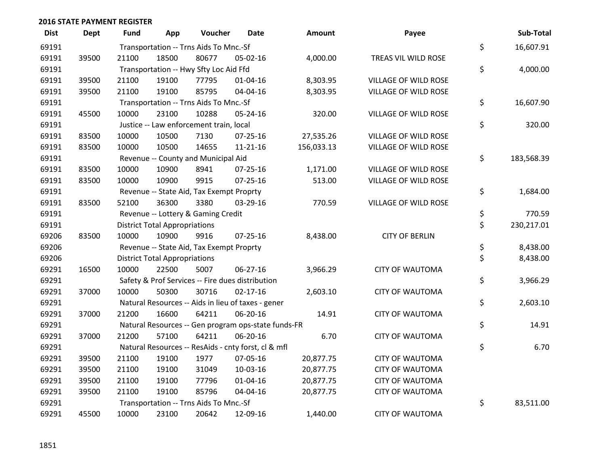| <b>Dist</b> | <b>Dept</b> | Fund  | App                                  | Voucher                                  | <b>Date</b>                                         | <b>Amount</b> | Payee                       | Sub-Total        |
|-------------|-------------|-------|--------------------------------------|------------------------------------------|-----------------------------------------------------|---------------|-----------------------------|------------------|
| 69191       |             |       |                                      | Transportation -- Trns Aids To Mnc.-Sf   |                                                     |               |                             | \$<br>16,607.91  |
| 69191       | 39500       | 21100 | 18500                                | 80677                                    | 05-02-16                                            | 4,000.00      | TREAS VIL WILD ROSE         |                  |
| 69191       |             |       |                                      | Transportation -- Hwy Sfty Loc Aid Ffd   |                                                     |               |                             | \$<br>4,000.00   |
| 69191       | 39500       | 21100 | 19100                                | 77795                                    | $01 - 04 - 16$                                      | 8,303.95      | VILLAGE OF WILD ROSE        |                  |
| 69191       | 39500       | 21100 | 19100                                | 85795                                    | 04-04-16                                            | 8,303.95      | <b>VILLAGE OF WILD ROSE</b> |                  |
| 69191       |             |       |                                      | Transportation -- Trns Aids To Mnc.-Sf   |                                                     |               |                             | \$<br>16,607.90  |
| 69191       | 45500       | 10000 | 23100                                | 10288                                    | 05-24-16                                            | 320.00        | VILLAGE OF WILD ROSE        |                  |
| 69191       |             |       |                                      | Justice -- Law enforcement train, local  |                                                     |               |                             | \$<br>320.00     |
| 69191       | 83500       | 10000 | 10500                                | 7130                                     | $07 - 25 - 16$                                      | 27,535.26     | VILLAGE OF WILD ROSE        |                  |
| 69191       | 83500       | 10000 | 10500                                | 14655                                    | $11 - 21 - 16$                                      | 156,033.13    | VILLAGE OF WILD ROSE        |                  |
| 69191       |             |       |                                      | Revenue -- County and Municipal Aid      |                                                     |               |                             | \$<br>183,568.39 |
| 69191       | 83500       | 10000 | 10900                                | 8941                                     | $07 - 25 - 16$                                      | 1,171.00      | <b>VILLAGE OF WILD ROSE</b> |                  |
| 69191       | 83500       | 10000 | 10900                                | 9915                                     | 07-25-16                                            | 513.00        | VILLAGE OF WILD ROSE        |                  |
| 69191       |             |       |                                      | Revenue -- State Aid, Tax Exempt Proprty |                                                     |               |                             | \$<br>1,684.00   |
| 69191       | 83500       | 52100 | 36300                                | 3380                                     | 03-29-16                                            | 770.59        | <b>VILLAGE OF WILD ROSE</b> |                  |
| 69191       |             |       |                                      | Revenue -- Lottery & Gaming Credit       |                                                     |               |                             | \$<br>770.59     |
| 69191       |             |       | <b>District Total Appropriations</b> |                                          |                                                     |               |                             | \$<br>230,217.01 |
| 69206       | 83500       | 10000 | 10900                                | 9916                                     | $07 - 25 - 16$                                      | 8,438.00      | <b>CITY OF BERLIN</b>       |                  |
| 69206       |             |       |                                      | Revenue -- State Aid, Tax Exempt Proprty |                                                     |               |                             | \$<br>8,438.00   |
| 69206       |             |       | <b>District Total Appropriations</b> |                                          |                                                     |               |                             | \$<br>8,438.00   |
| 69291       | 16500       | 10000 | 22500                                | 5007                                     | 06-27-16                                            | 3,966.29      | <b>CITY OF WAUTOMA</b>      |                  |
| 69291       |             |       |                                      |                                          | Safety & Prof Services -- Fire dues distribution    |               |                             | \$<br>3,966.29   |
| 69291       | 37000       | 10000 | 50300                                | 30716                                    | $02 - 17 - 16$                                      | 2,603.10      | <b>CITY OF WAUTOMA</b>      |                  |
| 69291       |             |       |                                      |                                          | Natural Resources -- Aids in lieu of taxes - gener  |               |                             | \$<br>2,603.10   |
| 69291       | 37000       | 21200 | 16600                                | 64211                                    | 06-20-16                                            | 14.91         | <b>CITY OF WAUTOMA</b>      |                  |
| 69291       |             |       |                                      |                                          | Natural Resources -- Gen program ops-state funds-FR |               |                             | \$<br>14.91      |
| 69291       | 37000       | 21200 | 57100                                | 64211                                    | 06-20-16                                            | 6.70          | <b>CITY OF WAUTOMA</b>      |                  |
| 69291       |             |       |                                      |                                          | Natural Resources -- ResAids - cnty forst, cl & mfl |               |                             | \$<br>6.70       |
| 69291       | 39500       | 21100 | 19100                                | 1977                                     | 07-05-16                                            | 20,877.75     | <b>CITY OF WAUTOMA</b>      |                  |
| 69291       | 39500       | 21100 | 19100                                | 31049                                    | 10-03-16                                            | 20,877.75     | <b>CITY OF WAUTOMA</b>      |                  |
| 69291       | 39500       | 21100 | 19100                                | 77796                                    | $01 - 04 - 16$                                      | 20,877.75     | <b>CITY OF WAUTOMA</b>      |                  |
| 69291       | 39500       | 21100 | 19100                                | 85796                                    | 04-04-16                                            | 20,877.75     | <b>CITY OF WAUTOMA</b>      |                  |
| 69291       |             |       |                                      | Transportation -- Trns Aids To Mnc.-Sf   |                                                     |               |                             | \$<br>83,511.00  |
| 69291       | 45500       | 10000 | 23100                                | 20642                                    | 12-09-16                                            | 1,440.00      | <b>CITY OF WAUTOMA</b>      |                  |